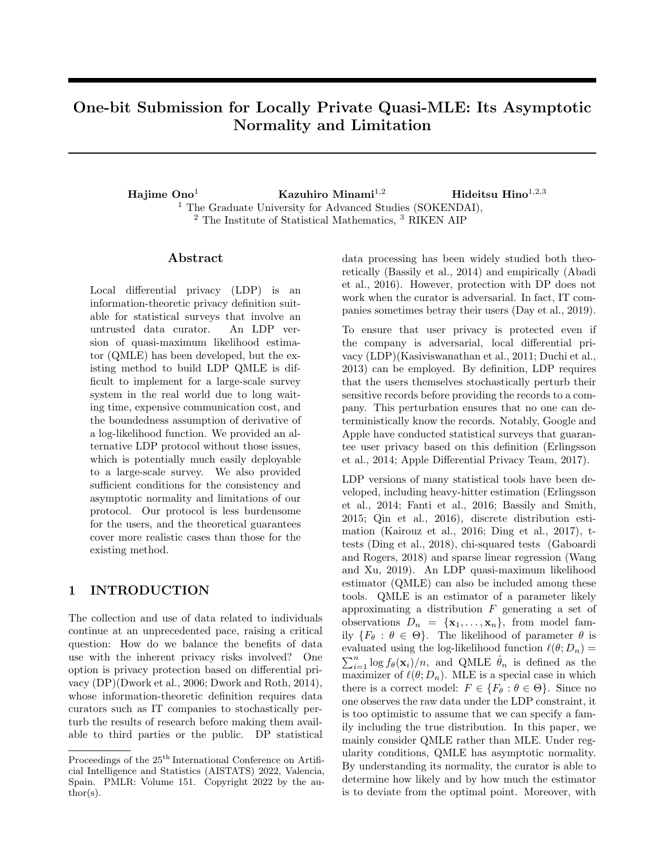# One-bit Submission for Locally Private Quasi-MLE: Its Asymptotic Normality and Limitation

Hajime Ono<sup>1</sup> Kazuhiro Minami<sup>1,2</sup> Hideitsu Hino<sup>1,2,3</sup> <sup>1</sup> The Graduate University for Advanced Studies (SOKENDAI), <sup>2</sup> The Institute of Statistical Mathematics, <sup>3</sup> RIKEN AIP

### ${\rm Abstract}$

Local differential privacy (LDP) is an information-theoretic privacy definition suitable for statistical surveys that involve an untrusted data curator. An LDP version of quasi-maximum likelihood estimator (QMLE) has been developed, but the existing method to build LDP QMLE is difficult to implement for a large-scale survey system in the real world due to long waiting time, expensive communication cost, and the boundedness assumption of derivative of a log-likelihood function. We provided an alternative LDP protocol without those issues, which is potentially much easily deployable to a large-scale survey. We also provided sufficient conditions for the consistency and asymptotic normality and limitations of our protocol. Our protocol is less burdensome for the users, and the theoretical guarantees cover more realistic cases than those for the existing method.

# 1 INTRODUCTION

The collection and use of data related to individuals continue at an unprecedented pace, raising a critical question: How do we balance the benefits of data use with the inherent privacy risks involved? One option is privacy protection based on differential privacy (DP)(Dwork et al., 2006; Dwork and Roth, 2014), whose information-theoretic definition requires data curators such as IT companies to stochastically perturb the results of research before making them available to third parties or the public. DP statistical data processing has been widely studied both theoretically (Bassily et al., 2014) and empirically (Abadi et al., 2016). However, protection with DP does not work when the curator is adversarial. In fact, IT companies sometimes betray their users (Day et al., 2019).

To ensure that user privacy is protected even if the company is adversarial, local differential privacy (LDP)(Kasiviswanathan et al., 2011; Duchi et al., 2013) can be employed. By definition, LDP requires that the users themselves stochastically perturb their sensitive records before providing the records to a company. This perturbation ensures that no one can deterministically know the records. Notably, Google and Apple have conducted statistical surveys that guarantee user privacy based on this definition (Erlingsson et al., 2014; Apple Differential Privacy Team, 2017).

LDP versions of many statistical tools have been developed, including heavy-hitter estimation (Erlingsson et al., 2014; Fanti et al., 2016; Bassily and Smith, 2015; Qin et al., 2016), discrete distribution estimation (Kairouz et al., 2016; Ding et al., 2017), ttests (Ding et al., 2018), chi-squared tests (Gaboardi and Rogers, 2018) and sparse linear regression (Wang and Xu, 2019). An LDP quasi-maximum likelihood estimator (QMLE) can also be included among these tools. QMLE is an estimator of a parameter likely approximating a distribution *F* generating a set of observations  $D_n = {\mathbf{x}_1, \ldots, \mathbf{x}_n}$ , from model family  ${F_{\theta}: \theta \in \Theta}$ . The likelihood of parameter  $\theta$  is evaluated using the log-likelihood function  $\ell(\theta; D_n)$  =  $\sum_{i=1}^{n} \log f_{\theta}(\mathbf{x}_i)/n$ , and QMLE  $\hat{\theta}_n$  is defined as the maximizer of  $\ell(\theta; D_n)$ . MLE is a special case in which there is a correct model:  $F \in \{F_{\theta} : \theta \in \Theta\}$ . Since no one observes the raw data under the LDP constraint, it is too optimistic to assume that we can specify a family including the true distribution. In this paper, we mainly consider QMLE rather than MLE. Under regularity conditions, QMLE has asymptotic normality. By understanding its normality, the curator is able to determine how likely and by how much the estimator is to deviate from the optimal point. Moreover, with

Proceedings of the  $25^{\text{th}}$  International Conference on Artificial Intelligence and Statistics (AISTATS) 2022, Valencia, Spain. PMLR: Volume 151. Copyright 2022 by the au- $\text{thor}(s)$ .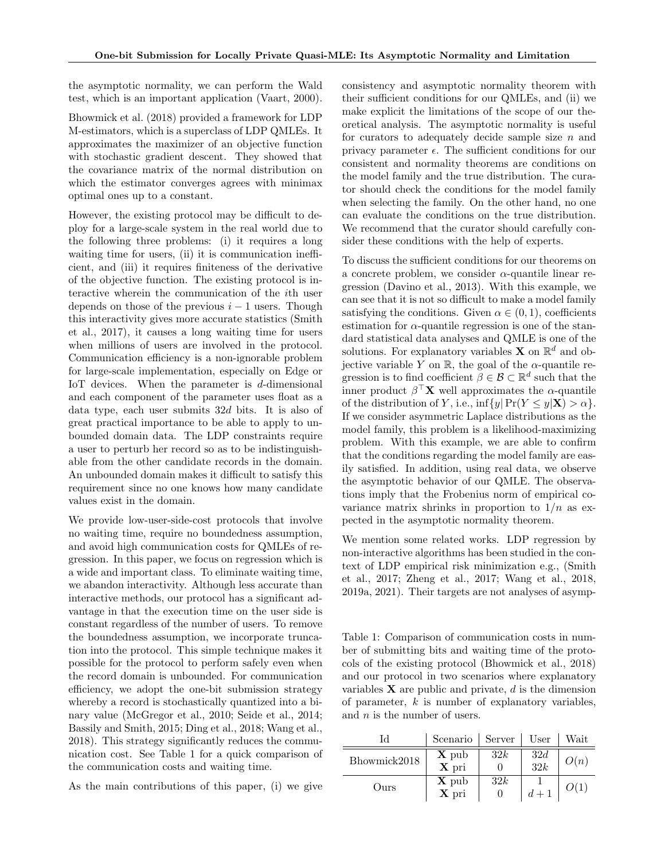the asymptotic normality, we can perform the Wald test, which is an important application (Vaart, 2000).

Bhowmick et al. (2018) provided a framework for LDP M-estimators, which is a superclass of LDP QMLEs. It approximates the maximizer of an objective function with stochastic gradient descent. They showed that the covariance matrix of the normal distribution on which the estimator converges agrees with minimax optimal ones up to a constant.

However, the existing protocol may be difficult to deploy for a large-scale system in the real world due to the following three problems: (i) it requires a long waiting time for users,  $(ii)$  it is communication inefficient, and (iii) it requires finiteness of the derivative of the objective function. The existing protocol is interactive wherein the communication of the *i*th user depends on those of the previous  $i-1$  users. Though this interactivity gives more accurate statistics (Smith et al., 2017), it causes a long waiting time for users when millions of users are involved in the protocol. Communication efficiency is a non-ignorable problem for large-scale implementation, especially on Edge or IoT devices. When the parameter is *d*-dimensional and each component of the parameter uses float as a data type, each user submits 32*d* bits. It is also of great practical importance to be able to apply to unbounded domain data. The LDP constraints require a user to perturb her record so as to be indistinguishable from the other candidate records in the domain. An unbounded domain makes it difficult to satisfy this requirement since no one knows how many candidate values exist in the domain.

We provide low-user-side-cost protocols that involve no waiting time, require no boundedness assumption, and avoid high communication costs for QMLEs of regression. In this paper, we focus on regression which is a wide and important class. To eliminate waiting time, we abandon interactivity. Although less accurate than interactive methods, our protocol has a significant advantage in that the execution time on the user side is constant regardless of the number of users. To remove the boundedness assumption, we incorporate truncation into the protocol. This simple technique makes it possible for the protocol to perform safely even when the record domain is unbounded. For communication efficiency, we adopt the one-bit submission strategy whereby a record is stochastically quantized into a binary value (McGregor et al., 2010; Seide et al., 2014; Bassily and Smith, 2015; Ding et al., 2018; Wang et al., 2018). This strategy significantly reduces the communication cost. See Table 1 for a quick comparison of the communication costs and waiting time.

As the main contributions of this paper, (i) we give

consistency and asymptotic normality theorem with their sufficient conditions for our QMLEs, and (ii) we make explicit the limitations of the scope of our theoretical analysis. The asymptotic normality is useful for curators to adequately decide sample size *n* and privacy parameter  $\epsilon$ . The sufficient conditions for our consistent and normality theorems are conditions on the model family and the true distribution. The curator should check the conditions for the model family when selecting the family. On the other hand, no one can evaluate the conditions on the true distribution. We recommend that the curator should carefully consider these conditions with the help of experts.

To discuss the sufficient conditions for our theorems on a concrete problem, we consider  $\alpha$ -quantile linear regression (Davino et al., 2013). With this example, we can see that it is not so difficult to make a model family satisfying the conditions. Given  $\alpha \in (0, 1)$ , coefficients estimation for  $\alpha$ -quantile regression is one of the standard statistical data analyses and QMLE is one of the solutions. For explanatory variables **X** on  $\mathbb{R}^d$  and objective variable *Y* on  $\mathbb{R}$ , the goal of the  $\alpha$ -quantile regression is to find coefficient  $\beta \in \mathcal{B} \subset \mathbb{R}^d$  such that the inner product  $\beta^{\top} \mathbf{X}$  well approximates the  $\alpha$ -quantile of the distribution of *Y*, i.e., inf{*y*|Pr(*Y*  $\lt y|\mathbf{X}$ )  $> \alpha$  }. If we consider asymmetric Laplace distributions as the model family, this problem is a likelihood-maximizing problem. With this example, we are able to confirm that the conditions regarding the model family are easily satisfied. In addition, using real data, we observe the asymptotic behavior of our QMLE. The observations imply that the Frobenius norm of empirical covariance matrix shrinks in proportion to  $1/n$  as expected in the asymptotic normality theorem.

We mention some related works. LDP regression by non-interactive algorithms has been studied in the context of LDP empirical risk minimization e.g., (Smith et al., 2017; Zheng et al., 2017; Wang et al., 2018, 2019a, 2021). Their targets are not analyses of asymp-

Table 1: Comparison of communication costs in number of submitting bits and waiting time of the protocols of the existing protocol (Bhowmick et al., 2018) and our protocol in two scenarios where explanatory variables X are public and private, *d* is the dimension of parameter, *k* is number of explanatory variables, and *n* is the number of users.

| IЧ           | Scenario                                       | Server | User       | Wait |
|--------------|------------------------------------------------|--------|------------|------|
| Bhowmick2018 | $\mathbf{X}$ pub<br>X pri                      | 32k    | 32d<br>32k | O(n) |
| Ours         | $\mathbf X$ pub<br>$\overline{\mathbf{X}}$ pri | 32k    | $d+1$      |      |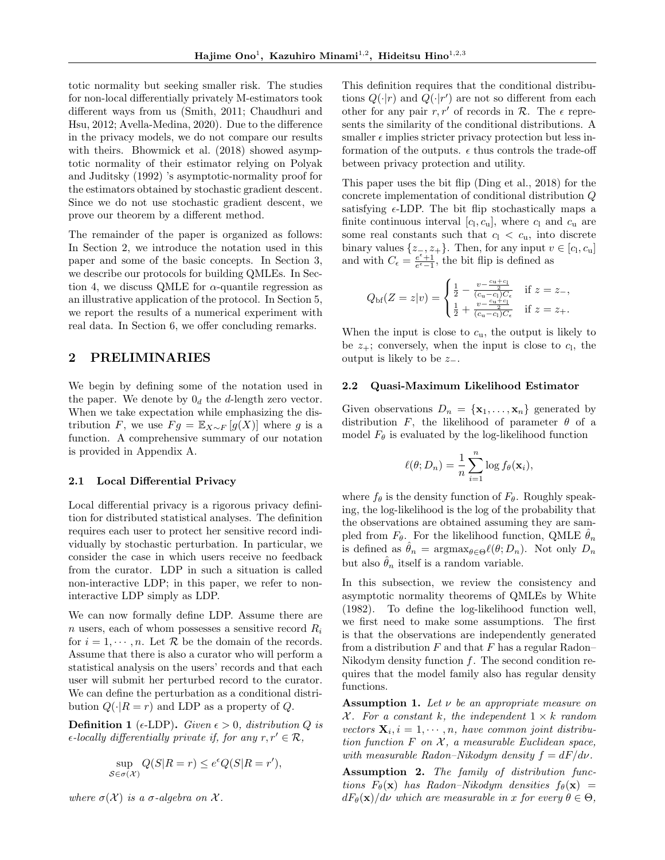totic normality but seeking smaller risk. The studies for non-local differentially privately M-estimators took different ways from us (Smith, 2011; Chaudhuri and Hsu, 2012; Avella-Medina, 2020). Due to the difference in the privacy models, we do not compare our results with theirs. Bhowmick et al.  $(2018)$  showed asymptotic normality of their estimator relying on Polyak and Juditsky (1992) 's asymptotic-normality proof for the estimators obtained by stochastic gradient descent. Since we do not use stochastic gradient descent, we prove our theorem by a different method.

The remainder of the paper is organized as follows: In Section 2, we introduce the notation used in this paper and some of the basic concepts. In Section 3, we describe our protocols for building QMLEs. In Section 4, we discuss QMLE for  $\alpha$ -quantile regression as an illustrative application of the protocol. In Section 5, we report the results of a numerical experiment with real data. In Section 6, we offer concluding remarks.

# 2 PRELIMINARIES

We begin by defining some of the notation used in the paper. We denote by  $0_d$  the *d*-length zero vector. When we take expectation while emphasizing the distribution *F*, we use  $Fg = \mathbb{E}_{X \sim F}[g(X)]$  where *g* is a function. A comprehensive summary of our notation is provided in Appendix A.

#### 2.1 Local Differential Privacy

Local differential privacy is a rigorous privacy definition for distributed statistical analyses. The definition requires each user to protect her sensitive record individually by stochastic perturbation. In particular, we consider the case in which users receive no feedback from the curator. LDP in such a situation is called non-interactive LDP; in this paper, we refer to noninteractive LDP simply as LDP.

We can now formally define LDP. Assume there are *n* users, each of whom possesses a sensitive record *R<sup>i</sup>* for  $i = 1, \dots, n$ . Let R be the domain of the records. Assume that there is also a curator who will perform a statistical analysis on the users' records and that each user will submit her perturbed record to the curator. We can define the perturbation as a conditional distribution  $Q(\cdot|R = r)$  and LDP as a property of  $Q$ .

**Definition 1** ( $\epsilon$ -LDP). *Given*  $\epsilon > 0$ , *distribution Q is*  $\epsilon$ -locally differentially private if, for any  $r, r' \in \mathcal{R}$ ,

$$
\sup_{S \in \sigma(\mathcal{X})} Q(S|R = r) \le e^{\epsilon} Q(S|R = r'),
$$

*where*  $\sigma(\mathcal{X})$  *is a*  $\sigma$ -*algebra on*  $\mathcal{X}$ *.* 

This definition requires that the conditional distributions  $Q(\cdot|r)$  and  $Q(\cdot|r')$  are not so different from each other for any pair  $r, r'$  of records in  $\mathcal{R}$ . The  $\epsilon$  represents the similarity of the conditional distributions. A smaller  $\epsilon$  implies stricter privacy protection but less information of the outputs.  $\epsilon$  thus controls the trade-off between privacy protection and utility.

This paper uses the bit flip (Ding et al., 2018) for the concrete implementation of conditional distribution *Q* satisfying  $\epsilon$ -LDP. The bit flip stochastically maps a finite continuous interval  $[c_1, c_u]$ , where  $c_1$  and  $c_u$  are some real constants such that  $c_1 < c_u$ , into discrete binary values  $\{z_-, z_+\}$ . Then, for any input  $v \in [c_1, c_1]$ and with  $C_{\epsilon} = \frac{e^{\epsilon}+1}{e^{\epsilon}-1}$ , the bit flip is defined as

$$
Q_{\rm bf}(Z=z|v) = \begin{cases} \frac{1}{2} - \frac{v - \frac{c_0 + c_1}{2}}{(c_0 - c_1)C_{\epsilon}} & \text{if } z = z_{-},\\ \frac{1}{2} + \frac{v - \frac{c_0 + c_1}{2}}{(c_0 - c_1)C_{\epsilon}} & \text{if } z = z_{+}. \end{cases}
$$

When the input is close to  $c<sub>u</sub>$ , the output is likely to be  $z_+$ ; conversely, when the input is close to  $c_1$ , the output is likely to be  $z_{-}$ .

#### 2.2 Quasi-Maximum Likelihood Estimator

Given observations  $D_n = {\mathbf{x}_1, \ldots, \mathbf{x}_n}$  generated by distribution  $F$ , the likelihood of parameter  $\theta$  of a model  $F_{\theta}$  is evaluated by the log-likelihood function

$$
\ell(\theta; D_n) = \frac{1}{n} \sum_{i=1}^n \log f_{\theta}(\mathbf{x}_i),
$$

where  $f_{\theta}$  is the density function of  $F_{\theta}$ . Roughly speaking, the log-likelihood is the log of the probability that the observations are obtained assuming they are sampled from  $F_{\theta}$ . For the likelihood function, QMLE  $\hat{\theta}_n$ is defined as  $\hat{\theta}_n = \operatorname{argmax}_{\theta \in \Theta} \ell(\theta; D_n)$ . Not only  $D_n$ but also  $\hat{\theta}_n$  itself is a random variable.

In this subsection, we review the consistency and asymptotic normality theorems of QMLEs by White (1982). To define the log-likelihood function well, we first need to make some assumptions. The first is that the observations are independently generated from a distribution *F* and that *F* has a regular Radon– Nikodym density function *f*. The second condition requires that the model family also has regular density functions.

Assumption 1. Let  $\nu$  be an appropriate measure on *X.* For a constant *k, the independent*  $1 \times k$  *random vectors*  $\mathbf{X}_i$ ,  $i = 1, \dots, n$ , have common joint distribu*tion function F on X , a measurable Euclidean space, with measurable Radon–Nikodym density*  $f = dF/d\nu$ .

Assumption 2. *The family of distribution func* $tions$   $F_{\theta}(\mathbf{x})$  *has Radon–Nikodym densities*  $f_{\theta}(\mathbf{x}) =$  $dF_{\theta}(\mathbf{x})/d\nu$  *which are measurable in x for every*  $\theta \in \Theta$ *,*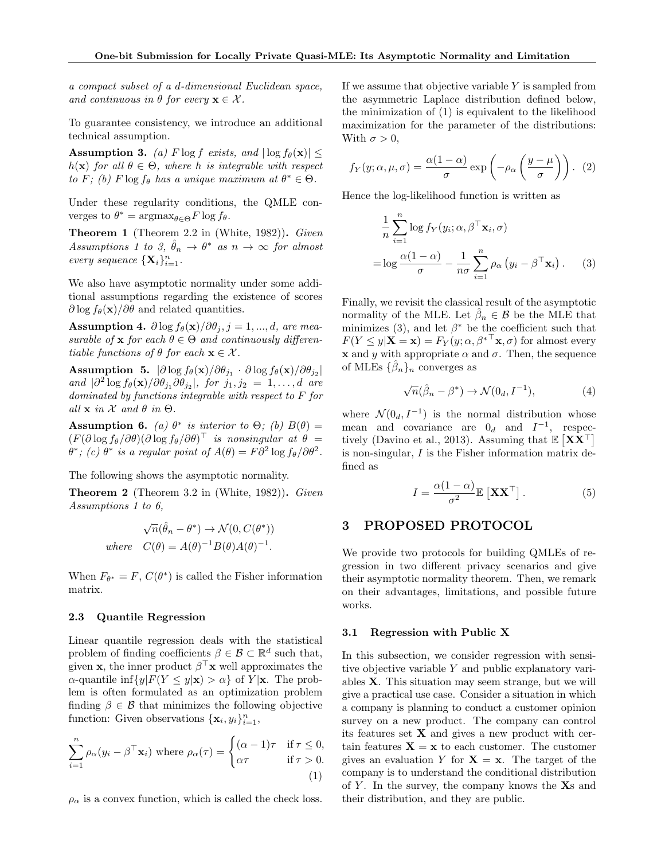*a compact subset of a d-dimensional Euclidean space, and continuous in*  $\theta$  *for every*  $\mathbf{x} \in \mathcal{X}$ *.* 

To guarantee consistency, we introduce an additional technical assumption.

Assumption 3. *(a)*  $F \log f$  *exists, and*  $|\log f_{\theta}(\mathbf{x})| \leq$  $h(\mathbf{x})$  *for all*  $\theta \in \Theta$ *, where h is integrable with respect to F*; (b) *F* log *f*<sup> $\theta$ </sup> *has a unique maximum at*  $\theta^* \in \Theta$ .

Under these regularity conditions, the QMLE converges to  $\theta^* = \arg \max_{\theta \in \Theta} F \log f_\theta$ .

Theorem 1 (Theorem 2.2 in (White, 1982)). *Given Assumptions 1 to 3,*  $\hat{\theta}_n \rightarrow \theta^*$  *as*  $n \rightarrow \infty$  *for almost every sequence*  ${\bf {X}}_i\}_{i=1}^n$ .

We also have asymptotic normality under some additional assumptions regarding the existence of scores  $\partial \log f_{\theta}(\mathbf{x})/\partial \theta$  and related quantities.

Assumption 4.  $\partial \log f_{\theta}(\mathbf{x}) / \partial \theta_j$ ,  $j = 1, ..., d$ , are mea*surable of* **x** *for each*  $\theta \in \Theta$  *and continuously differentiable functions of*  $\theta$  *for each*  $\mathbf{x} \in \mathcal{X}$ *.* 

Assumption 5.  $|\partial \log f_{\theta}(\mathbf{x})|/\partial \theta_{j_1} \cdot \partial \log f_{\theta}(\mathbf{x})|/\partial \theta_{j_2}|$  $\int \frac{\partial^2 f}{\partial s^2} \, ds \, f_\theta(\mathbf{x}) / \partial \theta_{j_1} \partial \theta_{j_2}$ , *for*  $j_1, j_2 = 1, \ldots, d$  *are dominated by functions integrable with respect to F for*  $all \times in \mathcal{X}$  and  $\theta$  in  $\Theta$ .

Assumption 6. *(a)*  $\theta^*$  *is interior to*  $\Theta$ *; (b)*  $B(\theta)$  =  $(F(\partial \log f_\theta/\partial \theta)(\partial \log f_\theta/\partial \theta)^\top$  *is nonsingular at*  $\theta =$  $\theta^*$ ; (c)  $\theta^*$  *is a regular point of*  $A(\theta) = F\partial^2 \log f_\theta / \partial \theta^2$ .

The following shows the asymptotic normality.

Theorem 2 (Theorem 3.2 in (White, 1982)). *Given Assumptions 1 to 6,*

$$
\sqrt{n}(\hat{\theta}_n - \theta^*) \to \mathcal{N}(0, C(\theta^*))
$$
  
where  $C(\theta) = A(\theta)^{-1}B(\theta)A(\theta)^{-1}$ .

When  $F_{\theta^*} = F$ ,  $C(\theta^*)$  is called the Fisher information matrix.

### 2.3 Quantile Regression

Linear quantile regression deals with the statistical problem of finding coefficients  $\beta \in \mathcal{B} \subset \mathbb{R}^d$  such that, given **x**, the inner product  $\beta^{\top}$ **x** well approximates the  $\alpha$ -quantile inf $\{y|F(Y \leq y|\mathbf{x}) > \alpha\}$  of  $Y|\mathbf{x}$ . The problem is often formulated as an optimization problem finding  $\beta \in \mathcal{B}$  that minimizes the following objective function: Given observations  $\{\mathbf{x}_i, y_i\}_{i=1}^n$ ,

$$
\sum_{i=1}^{n} \rho_{\alpha}(y_i - \beta^{\top} \mathbf{x}_i) \text{ where } \rho_{\alpha}(\tau) = \begin{cases} (\alpha - 1)\tau & \text{if } \tau \le 0, \\ \alpha \tau & \text{if } \tau > 0. \end{cases}
$$
 (1)

 $\rho_{\alpha}$  is a convex function, which is called the check loss.

If we assume that objective variable *Y* is sampled from the asymmetric Laplace distribution defined below, the minimization of (1) is equivalent to the likelihood maximization for the parameter of the distributions: With  $\sigma > 0$ ,

$$
f_Y(y; \alpha, \mu, \sigma) = \frac{\alpha(1-\alpha)}{\sigma} \exp\left(-\rho_\alpha \left(\frac{y-\mu}{\sigma}\right)\right). (2)
$$

Hence the log-likelihood function is written as

$$
\frac{1}{n} \sum_{i=1}^{n} \log f_Y(y_i; \alpha, \beta^{\top} \mathbf{x}_i, \sigma)
$$

$$
= \log \frac{\alpha (1 - \alpha)}{\sigma} - \frac{1}{n\sigma} \sum_{i=1}^{n} \rho_\alpha (y_i - \beta^{\top} \mathbf{x}_i).
$$
 (3)

Finally, we revisit the classical result of the asymptotic normality of the MLE. Let  $\hat{\beta}_n \in \mathcal{B}$  be the MLE that minimizes (3), and let  $\beta^*$  be the coefficient such that  $F(Y \leq y|\mathbf{X} = \mathbf{x}) = F_Y(y; \alpha, \beta^{*T} \mathbf{x}, \sigma)$  for almost every **x** and *y* with appropriate  $\alpha$  and  $\sigma$ . Then, the sequence of MLEs  $\{\beta_n\}_n$  converges as

$$
\sqrt{n}(\hat{\beta}_n - \beta^*) \to \mathcal{N}(0_d, I^{-1}),\tag{4}
$$

where  $\mathcal{N}(0_d, I^{-1})$  is the normal distribution whose mean and covariance are  $0_d$  and  $I^{-1}$ , respectively (Davino et al., 2013). Assuming that  $\mathbb{E} [\mathbf{X} \mathbf{X}^{\top}]$ is non-singular, *I* is the Fisher information matrix defined as

$$
I = \frac{\alpha (1 - \alpha)}{\sigma^2} \mathbb{E} \left[ \mathbf{X} \mathbf{X}^\top \right]. \tag{5}
$$

# 3 PROPOSED PROTOCOL

We provide two protocols for building QMLEs of regression in two different privacy scenarios and give their asymptotic normality theorem. Then, we remark on their advantages, limitations, and possible future works.

### 3.1 Regression with Public X

In this subsection, we consider regression with sensitive objective variable *Y* and public explanatory variables X. This situation may seem strange, but we will give a practical use case. Consider a situation in which a company is planning to conduct a customer opinion survey on a new product. The company can control its features set  $X$  and gives a new product with certain features  $X = x$  to each customer. The customer gives an evaluation *Y* for  $X = x$ . The target of the company is to understand the conditional distribution of *Y* . In the survey, the company knows the Xs and their distribution, and they are public.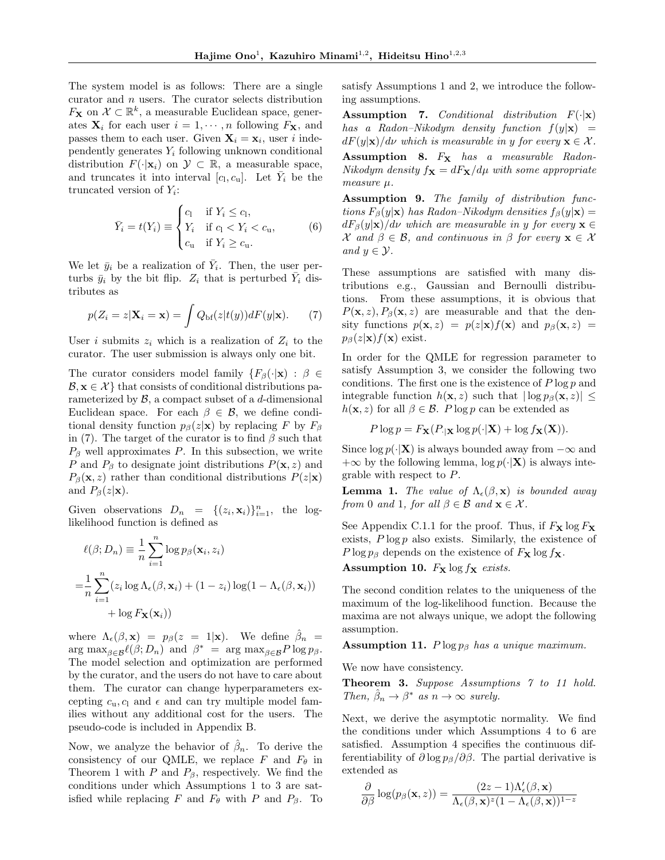The system model is as follows: There are a single curator and *n* users. The curator selects distribution  $F_{\mathbf{X}}$  on  $\mathcal{X} \subset \mathbb{R}^k$ , a measurable Euclidean space, generates  $\mathbf{X}_i$  for each user  $i = 1, \dots, n$  following  $F_\mathbf{X}$ , and passes them to each user. Given  $X_i = x_i$ , user *i* independently generates *Y<sup>i</sup>* following unknown conditional distribution  $F(\cdot|\mathbf{x}_i)$  on  $\mathcal{Y} \subset \mathbb{R}$ , a measurable space, and truncates it into interval  $[c_1, c_1]$ . Let  $\overline{Y}_i$  be the truncated version of *Yi*:

$$
\bar{Y}_i = t(Y_i) \equiv \begin{cases} c_1 & \text{if } Y_i \leq c_1, \\ Y_i & \text{if } c_1 < Y_i < c_u, \\ c_u & \text{if } Y_i \geq c_u. \end{cases} \tag{6}
$$

We let  $\bar{y}_i$  be a realization of  $\bar{Y}_i$ . Then, the user perturbs  $\bar{y}_i$  by the bit flip.  $Z_i$  that is perturbed  $\bar{Y}_i$  distributes as

$$
p(Z_i = z | \mathbf{X}_i = \mathbf{x}) = \int Q_{\text{bf}}(z | t(y)) dF(y | \mathbf{x}). \tag{7}
$$

User *i* submits  $z_i$  which is a realization of  $Z_i$  to the curator. The user submission is always only one bit.

The curator considers model family  $\{F_\beta(\cdot|\mathbf{x}) : \beta \in$  $B, x \in \mathcal{X}$  that consists of conditional distributions parameterized by *B*, a compact subset of a *d*-dimensional Euclidean space. For each  $\beta \in \mathcal{B}$ , we define conditional density function  $p_\beta(z|\mathbf{x})$  by replacing *F* by  $F_\beta$ in (7). The target of the curator is to find  $\beta$  such that  $P_{\beta}$  well approximates  $P$ . In this subsection, we write *P* and  $P_{\beta}$  to designate joint distributions  $P(\mathbf{x}, z)$  and  $P_{\beta}(\mathbf{x}, z)$  rather than conditional distributions  $P(z|\mathbf{x})$ and  $P_{\beta}(z|\mathbf{x})$ .

Given observations  $D_n = \{(z_i, \mathbf{x}_i)\}_{i=1}^n$ , the loglikelihood function is defined as

$$
\ell(\beta; D_n) \equiv \frac{1}{n} \sum_{i=1}^n \log p_{\beta}(\mathbf{x}_i, z_i)
$$
  
= 
$$
\frac{1}{n} \sum_{i=1}^n (z_i \log \Lambda_{\epsilon}(\beta, \mathbf{x}_i) + (1 - z_i) \log(1 - \Lambda_{\epsilon}(\beta, \mathbf{x}_i))
$$
  
+ 
$$
\log F_{\mathbf{X}}(\mathbf{x}_i))
$$

where  $\Lambda_{\epsilon}(\beta, \mathbf{x}) = p_{\beta}(z = 1|\mathbf{x})$ . We define  $\hat{\beta}_n =$  $\arg \max_{\beta \in \mathcal{B}} \ell(\beta; D_n)$  and  $\beta^* = \arg \max_{\beta \in \mathcal{B}} P \log p_\beta$ . The model selection and optimization are performed by the curator, and the users do not have to care about them. The curator can change hyperparameters excepting  $c_u$ ,  $c_l$  and  $\epsilon$  and can try multiple model families without any additional cost for the users. The pseudo-code is included in Appendix B.

Now, we analyze the behavior of  $\hat{\beta}_n$ . To derive the consistency of our QMLE, we replace  $F$  and  $F_{\theta}$  in Theorem 1 with  $P$  and  $P_{\beta}$ , respectively. We find the conditions under which Assumptions 1 to 3 are satisfied while replacing *F* and  $F_{\theta}$  with *P* and  $P_{\beta}$ . To satisfy Assumptions 1 and 2, we introduce the following assumptions.

Assumption 7. *Conditional distribution F*(*·|*x) *has a Radon–Nikodym density function*  $f(y|\mathbf{x}) =$  $dF(y|\mathbf{x})/d\nu$  *which is measurable in y for every*  $\mathbf{x} \in \mathcal{X}$ *.* 

Assumption 8.  $F_X$  has a measurable Radon-*Nikodym density*  $f_{\mathbf{X}} = dF_{\mathbf{X}}/d\mu$  *with some appropriate measure µ.*

Assumption 9. *The family of distribution functions*  $F_{\beta}(y|\mathbf{x})$  *has Radon–Nikodym densities*  $f_{\beta}(y|\mathbf{x}) =$  $dF_{\beta}(y|\mathbf{x})/d\nu$  *which are measurable in y for every*  $\mathbf{x} \in$ *X* and  $\beta \in \mathcal{B}$ , and continuous in  $\beta$  for every  $\mathbf{x} \in \mathcal{X}$ *and*  $y \in \mathcal{Y}$ *.* 

These assumptions are satisfied with many distributions e.g., Gaussian and Bernoulli distributions. From these assumptions, it is obvious that  $P(\mathbf{x}, z)$ ,  $P_\beta(\mathbf{x}, z)$  are measurable and that the density functions  $p(\mathbf{x}, z) = p(z|\mathbf{x})f(\mathbf{x})$  and  $p_\beta(\mathbf{x}, z) =$  $p_{\beta}(z|\mathbf{x})f(\mathbf{x})$  exist.

In order for the QMLE for regression parameter to satisfy Assumption 3, we consider the following two conditions. The first one is the existence of *P* log *p* and integrable function  $h(\mathbf{x}, z)$  such that  $|\log p_{\beta}(\mathbf{x}, z)| \leq$  $h(\mathbf{x}, z)$  for all  $\beta \in \mathcal{B}$ . *P* log *p* can be extended as

$$
P \log p = F_{\mathbf{X}}(P_{|\mathbf{X}} \log p(\cdot | \mathbf{X}) + \log f_{\mathbf{X}}(\mathbf{X})).
$$

Since  $\log p(\cdot|\mathbf{X})$  is always bounded away from  $-\infty$  and  $+\infty$  by the following lemma,  $\log p(\cdot|\mathbf{X})$  is always integrable with respect to *P*.

**Lemma 1.** *The value of*  $\Lambda_{\epsilon}(\beta, \mathbf{x})$  *is bounded away from* 0 *and* 1*, for all*  $\beta \in \mathcal{B}$  *and*  $\mathbf{x} \in \mathcal{X}$ *.* 

See Appendix C.1.1 for the proof. Thus, if  $F_X \log F_X$ exists, *P* log *p* also exists. Similarly, the existence of *P* log  $p_\beta$  depends on the existence of  $F_\mathbf{X}$  log  $f_\mathbf{X}$ .

Assumption 10.  $F_X \log f_X$  exists.

The second condition relates to the uniqueness of the maximum of the log-likelihood function. Because the maxima are not always unique, we adopt the following assumption.

Assumption 11.  $P \log p_\beta$  has a unique maximum.

We now have consistency.

Theorem 3. *Suppose Assumptions 7 to 11 hold. Then,*  $\beta_n \to \beta^*$  *as*  $n \to \infty$  *surely.* 

Next, we derive the asymptotic normality. We find the conditions under which Assumptions 4 to 6 are satisfied. Assumption 4 specifies the continuous differentiability of  $\partial \log p_{\beta}/\partial \beta$ . The partial derivative is extended as

$$
\frac{\partial}{\partial \beta} \log(p_{\beta}(\mathbf{x}, z)) = \frac{(2z - 1)\Lambda_{\epsilon}'(\beta, \mathbf{x})}{\Lambda_{\epsilon}(\beta, \mathbf{x})^{z}(1 - \Lambda_{\epsilon}(\beta, \mathbf{x}))^{1-z}}
$$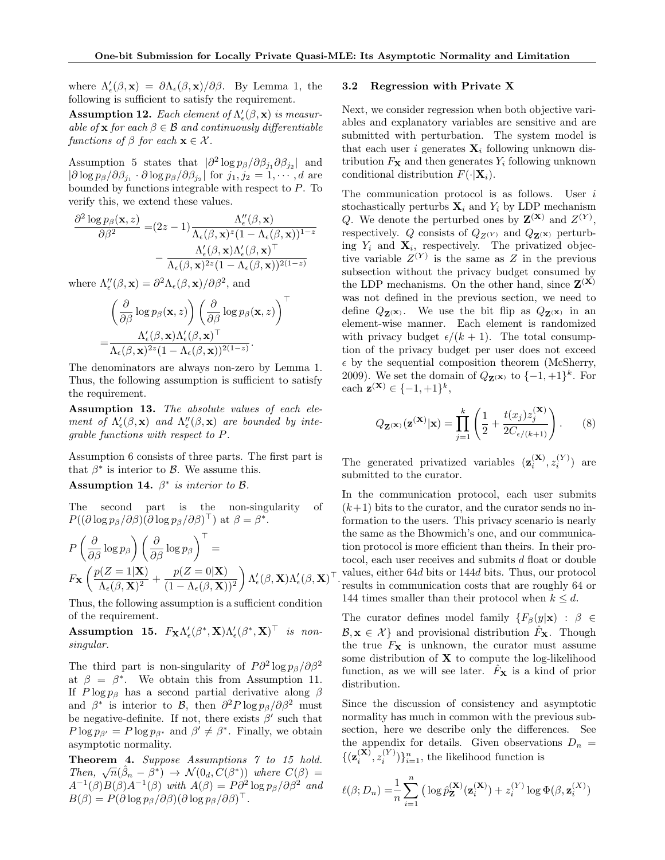$\top$ 

where  $\Lambda_{\epsilon}'(\beta, \mathbf{x}) = \partial \Lambda_{\epsilon}(\beta, \mathbf{x}) / \partial \beta$ . By Lemma 1, the following is sufficient to satisfy the requirement.

 $\bf Assumption~12.~\textit{Each element of}~\Lambda'_\epsilon(\beta, \mathbf{x})~\textit{is measurement}~\Lambda'_\epsilon(\beta, \mathbf{x})~\textit{is measurement}~\Lambda'_\epsilon(\beta, \mathbf{x})~\textit{is measurement}~\Lambda'_\epsilon(\beta, \mathbf{x})~\textit{is measurement}~\Lambda'_\epsilon(\beta, \mathbf{x})~\textit{is measurement}~\Lambda'_\epsilon(\beta, \mathbf{x})~\textit{is measurement}~\Lambda'_\epsilon(\beta, \mathbf{x})~\textit{is measurement}~\Lambda'_\epsilon(\beta, \mathbf{x})~\textit{is measurement}~\Lambda'_\epsilon(\beta, \mathbf{x})~\textit{is measurement}~\Lambda'_\$ *able of* x *for each*  $\beta \in \mathcal{B}$  *and continuously differentiable functions of*  $\beta$  *for each*  $\mathbf{x} \in \mathcal{X}$ *.* 

Assumption 5 states that  $|\partial^2 \log p_\beta / \partial \beta_{j_1} \partial \beta_{j_2}|$  and  $|\partial \log p_{\beta}/\partial \beta_{j_1} \cdot \partial \log p_{\beta}/\partial \beta_{j_2}|$  for  $j_1, j_2 = 1, \dots, d$  are bounded by functions integrable with respect to *P*. To verify this, we extend these values.

$$
\frac{\partial^2 \log p_{\beta}(\mathbf{x}, z)}{\partial \beta^2} = (2z - 1) \frac{\Lambda_{\epsilon}''(\beta, \mathbf{x})}{\Lambda_{\epsilon}(\beta, \mathbf{x})^z (1 - \Lambda_{\epsilon}(\beta, \mathbf{x}))^{1-z}} - \frac{\Lambda_{\epsilon}'(\beta, \mathbf{x}) \Lambda_{\epsilon}'(\beta, \mathbf{x})^{\top}}{\Lambda_{\epsilon}(\beta, \mathbf{x})^{2z} (1 - \Lambda_{\epsilon}(\beta, \mathbf{x}))^{2(1-z)}}
$$

where  $\Lambda_{\epsilon}''(\beta, \mathbf{x}) = \partial^2 \Lambda_{\epsilon}(\beta, \mathbf{x}) / \partial \beta^2$ , and

$$
\begin{aligned}\n&\left(\frac{\partial}{\partial \beta}\log p_{\beta}(\mathbf{x},z)\right)\left(\frac{\partial}{\partial \beta}\log p_{\beta}(\mathbf{x},z)\right) \\
&=\frac{\Lambda'_{\epsilon}(\beta,\mathbf{x})\Lambda'_{\epsilon}(\beta,\mathbf{x})^{\top}}{\Lambda_{\epsilon}(\beta,\mathbf{x})^{2z}(1-\Lambda_{\epsilon}(\beta,\mathbf{x}))^{2(1-z)}}.\n\end{aligned}
$$

The denominators are always non-zero by Lemma 1. Thus, the following assumption is sufficient to satisfy the requirement.

Assumption 13. *The absolute values of each element of*  $\Lambda_{\epsilon}'(\beta, \mathbf{x})$  *and*  $\Lambda_{\epsilon}''(\beta, \mathbf{x})$  *are bounded by integrable functions with respect to P.*

Assumption 6 consists of three parts. The first part is that  $\beta^*$  is interior to  $\beta$ . We assume this.

Assumption 14.  $\beta^*$  *is interior to*  $\beta$ *.* 

The second part is the non-singularity of  $P((\partial \log p_{\beta}/\partial \beta)(\partial \log p_{\beta}/\partial \beta)^{\top})$  at  $\beta = \beta^*$ .

$$
P\left(\frac{\partial}{\partial \beta}\log p_{\beta}\right)\left(\frac{\partial}{\partial \beta}\log p_{\beta}\right)^{\perp} =
$$
  

$$
F_{\mathbf{X}}\left(\frac{p(Z=1|\mathbf{X})}{\Lambda_{\epsilon}(\beta,\mathbf{X})^{2}} + \frac{p(Z=0|\mathbf{X})}{(1-\Lambda_{\epsilon}(\beta,\mathbf{X}))^{2}}\right)\Lambda_{\epsilon}'(\beta,\mathbf{X})\Lambda_{\epsilon}'(\beta,\mathbf{X})
$$

Thus, the following assumption is a sufficient condition of the requirement.

 $\textbf{Assumption 15.} \ \ F_{\mathbf{X}} {\Lambda}_\epsilon' (\beta^*, \mathbf{X}) {\Lambda}_\epsilon' (\beta^*, \mathbf{X})^\top \ \ \ \textit{is non--}$ *singular.*

The third part is non-singularity of  $P\partial^2 \log p_\beta / \partial \beta^2$ at  $\beta = \beta^*$ . We obtain this from Assumption 11. If  $P \log p_\beta$  has a second partial derivative along  $\beta$ and  $\beta^*$  is interior to *B*, then  $\partial^2 P \log p_\beta / \partial \beta^2$  must be negative-definite. If not, there exists  $\beta'$  such that  $P \log p_{\beta'} = P \log p_{\beta^*}$  and  $\beta' \neq \beta^*$ . Finally, we obtain asymptotic normality.

Theorem 4. *Suppose Assumptions 7 to 15 hold. Then,*  $\sqrt{n}(\hat{\beta}_n - \beta^*) \rightarrow \mathcal{N}(0_d, C(\beta^*))$  *where*  $C(\beta) =$  $A^{-1}(\beta)B(\beta)A^{-1}(\beta)$  *with*  $A(\beta) = P\partial^2 \log p_\beta/\partial \beta^2$  *and*  $B(\beta) = P(\partial \log p_{\beta}/\partial \beta)(\partial \log p_{\beta}/\partial \beta)^{\top}.$ 

#### 3.2 Regression with Private X

Next, we consider regression when both objective variables and explanatory variables are sensitive and are submitted with perturbation. The system model is that each user *i* generates  $\mathbf{X}_i$  following unknown distribution  $F<sub>X</sub>$  and then generates  $Y<sub>i</sub>$  following unknown conditional distribution  $F(\cdot|\mathbf{X}_i)$ .

The communication protocol is as follows. User *i* stochastically perturbs  $\mathbf{X}_i$  and  $Y_i$  by LDP mechanism *Q*. We denote the perturbed ones by  $\mathbf{Z}^{(\mathbf{X})}$  and  $Z^{(Y)}$ , respectively. *Q* consists of  $Q_{Z(Y)}$  and  $Q_{Z(X)}$  perturbing  $Y_i$  and  $\mathbf{X}_i$ , respectively. The privatized objective variable  $Z^{(Y)}$  is the same as  $Z$  in the previous subsection without the privacy budget consumed by the LDP mechanisms. On the other hand, since  $\mathbf{Z}^{(\mathbf{X})}$ was not defined in the previous section, we need to define  $Q_{\mathbf{Z}(\mathbf{x})}$ . We use the bit flip as  $Q_{\mathbf{Z}(\mathbf{x})}$  in an element-wise manner. Each element is randomized with privacy budget  $\epsilon/(k+1)$ . The total consumption of the privacy budget per user does not exceed  $\epsilon$  by the sequential composition theorem (McSherry, 2009). We set the domain of  $Q_{\mathbf{Z}(\mathbf{x})}$  to  $\{-1, +1\}^k$ . For each  $z^{(X)} \in \{-1, +1\}^k$ ,

$$
Q_{\mathbf{Z}(\mathbf{x})}(\mathbf{z}(\mathbf{x})|\mathbf{x}) = \prod_{j=1}^{k} \left(\frac{1}{2} + \frac{t(x_j)z_j^{(\mathbf{X})}}{2C_{\epsilon/(k+1)}}\right).
$$
 (8)

The generated privatized variables  $(\mathbf{z}_i^{(\mathbf{X})}, z_i^{(Y)})$  are submitted to the curator.

>*.* values, either 64*d* bits or 144*d* bits. Thus, our protocol In the communication protocol, each user submits  $(k+1)$  bits to the curator, and the curator sends no information to the users. This privacy scenario is nearly the same as the Bhowmich's one, and our communication protocol is more efficient than theirs. In their protocol, each user receives and submits *d* float or double results in communication costs that are roughly 64 or 144 times smaller than their protocol when  $k \leq d$ .

The curator defines model family  ${F_\beta(y|\mathbf{x}) : \beta \in \mathbb{R}^2}$  $\mathcal{B}, \mathbf{x} \in \mathcal{X}$  and provisional distribution  $F_{\mathbf{X}}$ . Though the true  $F<sub>X</sub>$  is unknown, the curator must assume some distribution of  $X$  to compute the log-likelihood function, as we will see later.  $F<sub>X</sub>$  is a kind of prior distribution.

Since the discussion of consistency and asymptotic normality has much in common with the previous subsection, here we describe only the differences. See the appendix for details. Given observations  $D_n$  =  $\{(\mathbf{z}_i^{(\mathbf{X})}, z_i^{(Y)})\}_{i=1}^n$ , the likelihood function is

$$
\ell(\beta; D_n) = \frac{1}{n} \sum_{i=1}^n \left( \log \hat{p}_{\mathbf{Z}}^{(\mathbf{X})}(\mathbf{z}_i^{(\mathbf{X})}) + z_i^{(Y)} \log \Phi(\beta, \mathbf{z}_i^{(X)}) \right)
$$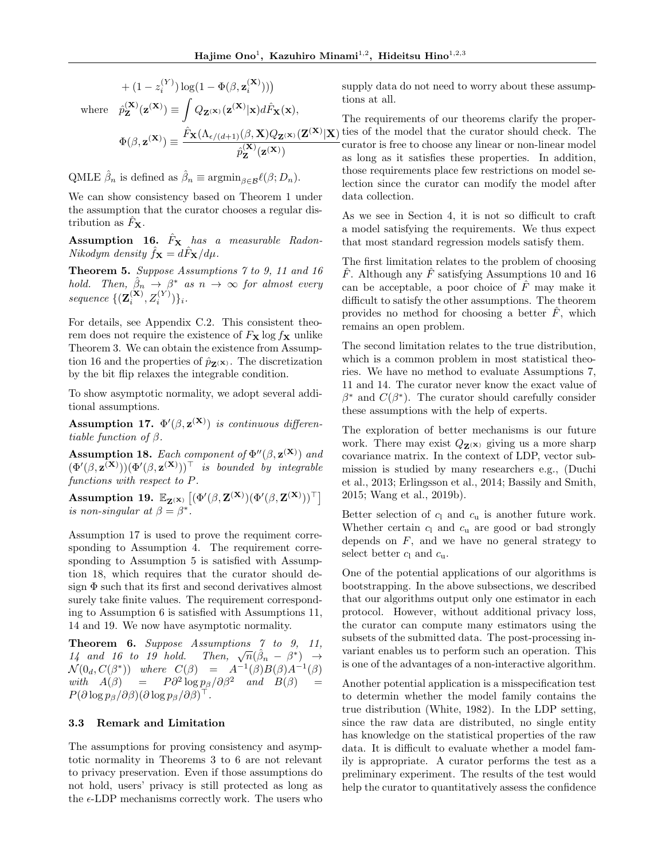$$
+ (1 - z_i^{(Y)}) \log(1 - \Phi(\beta, \mathbf{z}_i^{(X)})))
$$
  
where 
$$
\hat{p}_{\mathbf{Z}}^{(\mathbf{X})}(\mathbf{z}^{(\mathbf{X})}) \equiv \int Q_{\mathbf{Z}^{(\mathbf{X})}}(\mathbf{z}^{(\mathbf{X})} | \mathbf{x}) d\hat{F}_{\mathbf{X}}(\mathbf{x}),
$$

$$
\Phi(\beta, \mathbf{z}^{(\mathbf{X})}) \equiv \frac{\hat{F}_{\mathbf{X}}(\Lambda_{\epsilon/(d+1)}(\beta, \mathbf{X}) Q_{\mathbf{Z}^{(\mathbf{X})}}(\mathbf{Z}^{(\mathbf{X})} | \mathbf{X})}{\hat{p}_{\mathbf{Z}}^{(\mathbf{X})}(\mathbf{z}^{(\mathbf{X})})},
$$

QMLE  $\hat{\beta}_n$  is defined as  $\hat{\beta}_n \equiv \operatorname{argmin}_{\beta \in \mathcal{B}} \ell(\beta; D_n)$ .

We can show consistency based on Theorem 1 under the assumption that the curator chooses a regular distribution as  $F_{\mathbf{X}}$ .

Assumption 16. *F*ˆ<sup>X</sup> *has a measurable Radon-Nikodym density*  $\hat{f}_X = d\hat{F}_X/d\mu$ *.* 

Theorem 5. *Suppose Assumptions 7 to 9, 11 and 16 hold.* Then,  $\hat{\beta}_n \rightarrow \beta^*$  as  $n \rightarrow \infty$  for almost every  $sequence \{ (\mathbf{Z}_{i}^{(\mathbf{X})}, Z_{i}^{(Y)}) \}_{i}$ .

For details, see Appendix C.2. This consistent theorem does not require the existence of  $F_X \log f_X$  unlike Theorem 3. We can obtain the existence from Assumption 16 and the properties of  $\hat{p}_{\mathbf{Z}(\mathbf{x})}$ . The discretization by the bit flip relaxes the integrable condition.

To show asymptotic normality, we adopt several additional assumptions.

Assumption 17.  $\Phi'(\beta, \mathbf{z}^{(\mathbf{X})})$  *is continuous differentiable function of*  $\beta$ .

**Assumption 18.** Each component of  $\Phi''(\beta, \mathbf{z}^{(\mathbf{X})})$  and  $(\Phi'(\beta, \mathbf{z}^{(\mathbf{X})}))(\Phi'(\beta, \mathbf{z}^{(\mathbf{X})}))^{\top}$  *is bounded by integrable functions with respect to P.*

Assumption 19.  $\mathbb{E}_{\mathbf{Z}^{(\mathbf{X})}}\left[ (\Phi'(\beta, \mathbf{Z}^{(\mathbf{X})})(\Phi'(\beta, \mathbf{Z}^{(\mathbf{X})}))^{\top} \right]$ *is non-singular at*  $\beta = \beta^*$ .

Assumption 17 is used to prove the requiment corresponding to Assumption 4. The requirement corresponding to Assumption 5 is satisfied with Assumption 18, which requires that the curator should design  $\Phi$  such that its first and second derivatives almost surely take finite values. The requirement corresponding to Assumption 6 is satisfied with Assumptions 11, 14 and 19. We now have asymptotic normality.

Theorem 6. *Suppose Assumptions 7 to 9, 11,* 14 and 16 to 19 hold. Then,  $\sqrt{n}(\hat{\beta}_n - \beta^*) \rightarrow$  $\mathcal{N}(0_d, C(\beta^*))$  *where*  $C(\beta) = A^{-1}(\beta)B(\beta)A^{-1}(\beta)$  $with \quad A(\beta) = P\partial^2 \log p_{\beta}/\partial \beta^2 \quad and \quad B(\beta) =$  $P(\partial \log p_\beta/\partial \beta)(\partial \log p_\beta/\partial \beta)$ <sup>1</sup>.

### 3.3 Remark and Limitation

The assumptions for proving consistency and asymptotic normality in Theorems 3 to 6 are not relevant to privacy preservation. Even if those assumptions do not hold, users' privacy is still protected as long as the  $\epsilon$ -LDP mechanisms correctly work. The users who supply data do not need to worry about these assumptions at all.

*|*X) ties of the model that the curator should check. The The requirements of our theorems clarify the propercurator is free to choose any linear or non-linear model as long as it satisfies these properties. In addition, those requirements place few restrictions on model selection since the curator can modify the model after data collection.

As we see in Section 4, it is not so difficult to craft a model satisfying the requirements. We thus expect that most standard regression models satisfy them.

The first limitation relates to the problem of choosing  $\hat{F}$ . Although any  $\hat{F}$  satisfying Assumptions 10 and 16 can be acceptable, a poor choice of  $\hat{F}$  may make it difficult to satisfy the other assumptions. The theorem provides no method for choosing a better  $\hat{F}$ , which remains an open problem.

The second limitation relates to the true distribution, which is a common problem in most statistical theories. We have no method to evaluate Assumptions 7, 11 and 14. The curator never know the exact value of  $\beta^*$  and  $C(\beta^*)$ . The curator should carefully consider these assumptions with the help of experts.

The exploration of better mechanisms is our future work. There may exist  $Q_{\mathbf{Z}(\mathbf{x})}$  giving us a more sharp covariance matrix. In the context of LDP, vector submission is studied by many researchers e.g., (Duchi et al., 2013; Erlingsson et al., 2014; Bassily and Smith, 2015; Wang et al., 2019b).

Better selection of  $c_1$  and  $c_u$  is another future work. Whether certain  $c_1$  and  $c_u$  are good or bad strongly depends on  $F$ , and we have no general strategy to select better  $c_1$  and  $c_1$ .

One of the potential applications of our algorithms is bootstrapping. In the above subsections, we described that our algorithms output only one estimator in each protocol. However, without additional privacy loss, the curator can compute many estimators using the subsets of the submitted data. The post-processing invariant enables us to perform such an operation. This is one of the advantages of a non-interactive algorithm.

Another potential application is a misspecification test to determin whether the model family contains the true distribution (White, 1982). In the LDP setting, since the raw data are distributed, no single entity has knowledge on the statistical properties of the raw data. It is difficult to evaluate whether a model family is appropriate. A curator performs the test as a preliminary experiment. The results of the test would help the curator to quantitatively assess the confidence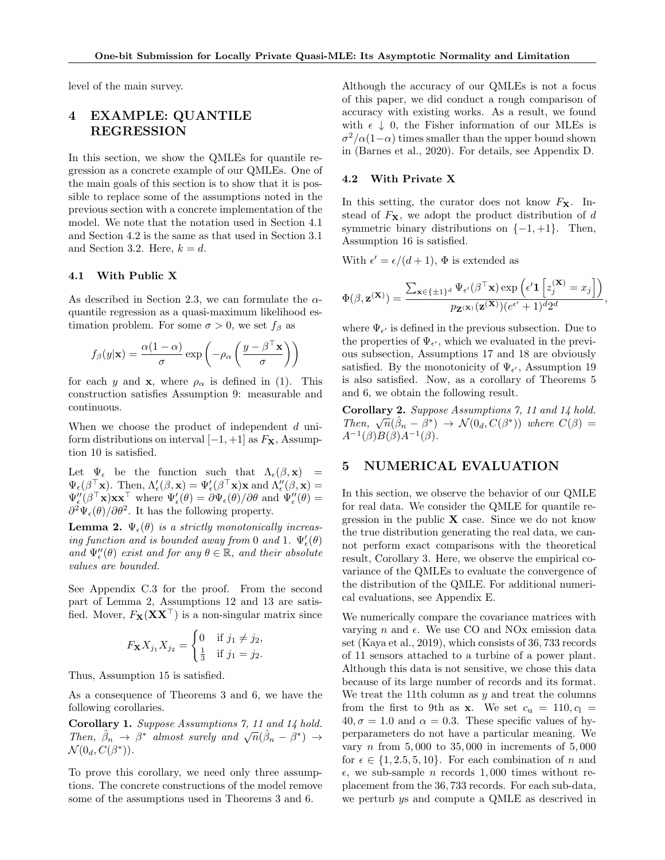level of the main survey.

# 4 EXAMPLE: QUANTILE REGRESSION

In this section, we show the QMLEs for quantile regression as a concrete example of our QMLEs. One of the main goals of this section is to show that it is possible to replace some of the assumptions noted in the previous section with a concrete implementation of the model. We note that the notation used in Section 4.1 and Section 4.2 is the same as that used in Section 3.1 and Section 3.2. Here,  $k = d$ .

### 4.1 With Public X

As described in Section 2.3, we can formulate the  $\alpha$ quantile regression as a quasi-maximum likelihood estimation problem. For some  $\sigma > 0$ , we set  $f_\beta$  as

$$
f_{\beta}(y|\mathbf{x}) = \frac{\alpha(1-\alpha)}{\sigma} \exp\left(-\rho_{\alpha}\left(\frac{y-\beta^{\top}\mathbf{x}}{\sigma}\right)\right)
$$

for each *y* and **x**, where  $\rho_{\alpha}$  is defined in (1). This construction satisfies Assumption 9: measurable and continuous.

When we choose the product of independent *d* uniform distributions on interval  $[-1, +1]$  as  $F<sub>X</sub>$ , Assumption 10 is satisfied.

Let  $\Psi_{\epsilon}$  be the function such that  $\Lambda_{\epsilon}(\beta, \mathbf{x})$  =  $\Psi_{\epsilon}(\beta \mid {\bf x}).$  Then,  $\Lambda'_{\epsilon}(\beta, {\bf x}) = \Psi'_{\epsilon}(\beta \mid {\bf x}) {\bf x}$  and  $\Lambda''_{\epsilon}(\beta, {\bf x}) =$  $\Psi_{\epsilon}''(\beta \mid \mathbf{x})\mathbf{x}\mathbf{x}^{\top}$  where  $\Psi_{\epsilon}'(\theta) = \partial \Psi_{\epsilon}(\theta)/\partial \theta$  and  $\Psi_{\epsilon}''(\theta) =$  $\partial^2 \Psi_{\epsilon}(\theta)/\partial \theta^2$ . It has the following property.

**Lemma 2.**  $\Psi_{\epsilon}(\theta)$  *is a strictly monotonically increasing function and is bounded away from* 0 *and* 1.  $\Psi_{\epsilon}'(\theta)$ and  $\Psi''_{\epsilon}(\theta)$  *exist and for any*  $\theta \in \mathbb{R}$ *, and their absolute values are bounded.*

See Appendix C.3 for the proof. From the second part of Lemma 2, Assumptions 12 and 13 are satisfied. Mover,  $F_{\mathbf{X}}(\mathbf{X}\mathbf{X}^{\top})$  is a non-singular matrix since

$$
F_{\mathbf{X}} X_{j_1} X_{j_2} = \begin{cases} 0 & \text{if } j_1 \neq j_2, \\ \frac{1}{3} & \text{if } j_1 = j_2. \end{cases}
$$

Thus, Assumption 15 is satisfied.

As a consequence of Theorems 3 and 6, we have the following corollaries.

Corollary 1. *Suppose Assumptions 7, 11 and 14 hold. Then,*  $\hat{\beta}_n \rightarrow \beta^*$  *almost surely and*  $\sqrt{n}(\hat{\beta}_n - \beta^*) \rightarrow$  $\mathcal{N}(0_d, C(\beta^*))$ .

To prove this corollary, we need only three assumptions. The concrete constructions of the model remove some of the assumptions used in Theorems 3 and 6.

Although the accuracy of our QMLEs is not a focus of this paper, we did conduct a rough comparison of accuracy with existing works. As a result, we found with  $\epsilon \downarrow 0$ , the Fisher information of our MLEs is  $\sigma^2/\alpha(1-\alpha)$  times smaller than the upper bound shown in (Barnes et al., 2020). For details, see Appendix D.

### 4.2 With Private X

In this setting, the curator does not know  $F<sub>X</sub>$ . Instead of  $F_X$ , we adopt the product distribution of  $d$ symmetric binary distributions on  $\{-1, +1\}$ . Then, Assumption 16 is satisfied.

With  $\epsilon' = \epsilon/(d+1)$ ,  $\Phi$  is extended as

$$
\Phi(\beta, \mathbf{z}^{(\mathbf{X})}) = \frac{\sum_{\mathbf{x} \in \{\pm 1\}^d} \Psi_{\epsilon'}(\beta^{\top} \mathbf{x}) \exp\left(\epsilon' \mathbf{1} \left[ z_j^{(\mathbf{X})} = x_j \right] \right)}{p_{\mathbf{Z}^{(\mathbf{X})}}(\mathbf{z}^{(\mathbf{X})})(e^{\epsilon'} + 1)^d 2^d},
$$

where  $\Psi_{\epsilon'}$  is defined in the previous subsection. Due to the properties of  $\Psi_{\epsilon'}$ , which we evaluated in the previous subsection, Assumptions 17 and 18 are obviously satisfied. By the monotonicity of  $\Psi_{\epsilon'}$ , Assumption 19 is also satisfied. Now, as a corollary of Theorems 5 and 6, we obtain the following result.

Corollary 2. *Suppose Assumptions 7, 11 and 14 hold. Then,*  $\sqrt{n}(\hat{\beta}_n - \beta^*) \rightarrow \mathcal{N}(0_d, C(\beta^*))$  *where*  $C(\beta) =$  $A^{-1}(\beta)B(\beta)A^{-1}(\beta)$ .

## 5 NUMERICAL EVALUATION

In this section, we observe the behavior of our QMLE for real data. We consider the QMLE for quantile regression in the public  $X$  case. Since we do not know the true distribution generating the real data, we cannot perform exact comparisons with the theoretical result, Corollary 3. Here, we observe the empirical covariance of the QMLEs to evaluate the convergence of the distribution of the QMLE. For additional numerical evaluations, see Appendix E.

We numerically compare the covariance matrices with varying *n* and  $\epsilon$ . We use CO and NO<sub>x</sub> emission data set (Kaya et al., 2019), which consists of 36*,* 733 records of 11 sensors attached to a turbine of a power plant. Although this data is not sensitive, we chose this data because of its large number of records and its format. We treat the 11th column as *y* and treat the columns from the first to 9th as **x**. We set  $c_u = 110, c_l =$  $40, \sigma = 1.0$  and  $\alpha = 0.3$ . These specific values of hyperparameters do not have a particular meaning. We vary *n* from 5*,* 000 to 35*,* 000 in increments of 5*,* 000 for  $\epsilon \in \{1, 2.5, 5, 10\}$ . For each combination of *n* and  $\epsilon$ , we sub-sample *n* records 1,000 times without replacement from the 36*,* 733 records. For each sub-data, we perturb *y*s and compute a QMLE as descrived in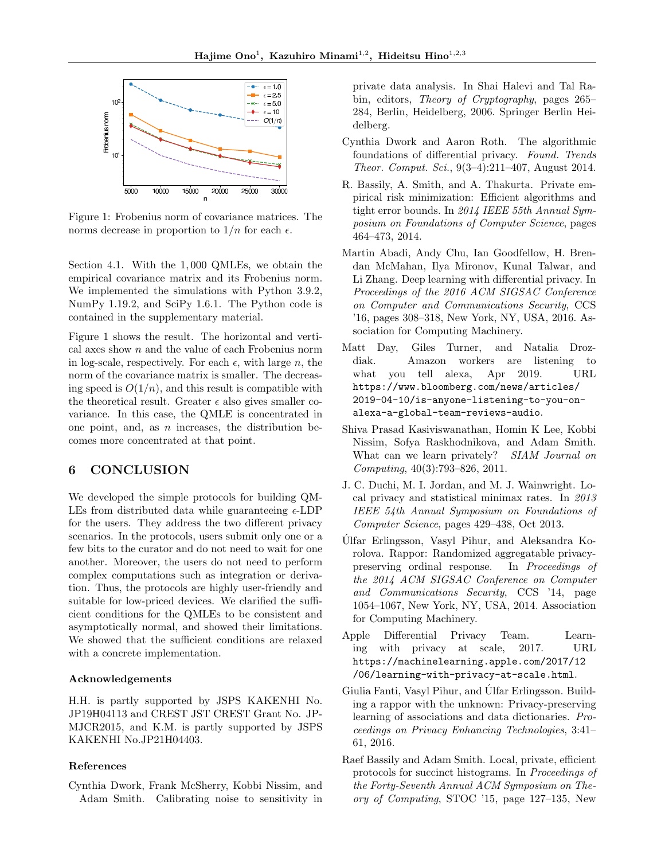

Figure 1: Frobenius norm of covariance matrices. The norms decrease in proportion to  $1/n$  for each  $\epsilon$ .

Section 4.1. With the 1*,* 000 QMLEs, we obtain the empirical covariance matrix and its Frobenius norm. We implemented the simulations with Python 3.9.2, NumPy 1.19.2, and SciPy 1.6.1. The Python code is contained in the supplementary material.

Figure 1 shows the result. The horizontal and vertical axes show *n* and the value of each Frobenius norm in log-scale, respectively. For each  $\epsilon$ , with large *n*, the norm of the covariance matrix is smaller. The decreasing speed is  $O(1/n)$ , and this result is compatible with the theoretical result. Greater  $\epsilon$  also gives smaller covariance. In this case, the QMLE is concentrated in one point, and, as *n* increases, the distribution becomes more concentrated at that point.

# 6 CONCLUSION

We developed the simple protocols for building QM-LEs from distributed data while guaranteeing  $\epsilon$ -LDP for the users. They address the two different privacy scenarios. In the protocols, users submit only one or a few bits to the curator and do not need to wait for one another. Moreover, the users do not need to perform complex computations such as integration or derivation. Thus, the protocols are highly user-friendly and suitable for low-priced devices. We clarified the sufficient conditions for the QMLEs to be consistent and asymptotically normal, and showed their limitations. We showed that the sufficient conditions are relaxed with a concrete implementation.

## Acknowledgements

H.H. is partly supported by JSPS KAKENHI No. JP19H04113 and CREST JST CREST Grant No. JP-MJCR2015, and K.M. is partly supported by JSPS KAKENHI No.JP21H04403.

### References

Cynthia Dwork, Frank McSherry, Kobbi Nissim, and Adam Smith. Calibrating noise to sensitivity in private data analysis. In Shai Halevi and Tal Rabin, editors, *Theory of Cryptography*, pages 265– 284, Berlin, Heidelberg, 2006. Springer Berlin Heidelberg.

- Cynthia Dwork and Aaron Roth. The algorithmic foundations of differential privacy. Found. Trends *Theor. Comput. Sci.*, 9(3–4):211–407, August 2014.
- R. Bassily, A. Smith, and A. Thakurta. Private empirical risk minimization: Efficient algorithms and tight error bounds. In *2014 IEEE 55th Annual Symposium on Foundations of Computer Science*, pages 464–473, 2014.
- Martin Abadi, Andy Chu, Ian Goodfellow, H. Brendan McMahan, Ilya Mironov, Kunal Talwar, and Li Zhang. Deep learning with differential privacy. In *Proceedings of the 2016 ACM SIGSAC Conference on Computer and Communications Security*, CCS '16, pages 308–318, New York, NY, USA, 2016. Association for Computing Machinery.
- Matt Day, Giles Turner, and Natalia Drozdiak. Amazon workers are listening to what you tell alexa, Apr 2019. URL https://www.bloomberg.com/news/articles/ 2019-04-10/is-anyone-listening-to-you-onalexa-a-global-team-reviews-audio.
- Shiva Prasad Kasiviswanathan, Homin K Lee, Kobbi Nissim, Sofya Raskhodnikova, and Adam Smith. What can we learn privately? *SIAM Journal on Computing*, 40(3):793–826, 2011.
- J. C. Duchi, M. I. Jordan, and M. J. Wainwright. Local privacy and statistical minimax rates. In *2013 IEEE 54th Annual Symposium on Foundations of Computer Science*, pages 429–438, Oct 2013.
- Ulfar Erlingsson, Vasyl Pihur, and Aleksandra Ko- ´ rolova. Rappor: Randomized aggregatable privacypreserving ordinal response. In *Proceedings of the 2014 ACM SIGSAC Conference on Computer and Communications Security*, CCS '14, page 1054–1067, New York, NY, USA, 2014. Association for Computing Machinery.
- Apple Differential Privacy Team. Learning with privacy at scale, 2017. URL https://machinelearning.apple.com/2017/12 /06/learning-with-privacy-at-scale.html.
- Giulia Fanti, Vasyl Pihur, and Ulfar Erlingsson. Build- ´ ing a rappor with the unknown: Privacy-preserving learning of associations and data dictionaries. *Proceedings on Privacy Enhancing Technologies*, 3:41– 61, 2016.
- Raef Bassily and Adam Smith. Local, private, efficient protocols for succinct histograms. In *Proceedings of the Forty-Seventh Annual ACM Symposium on Theory of Computing*, STOC '15, page 127–135, New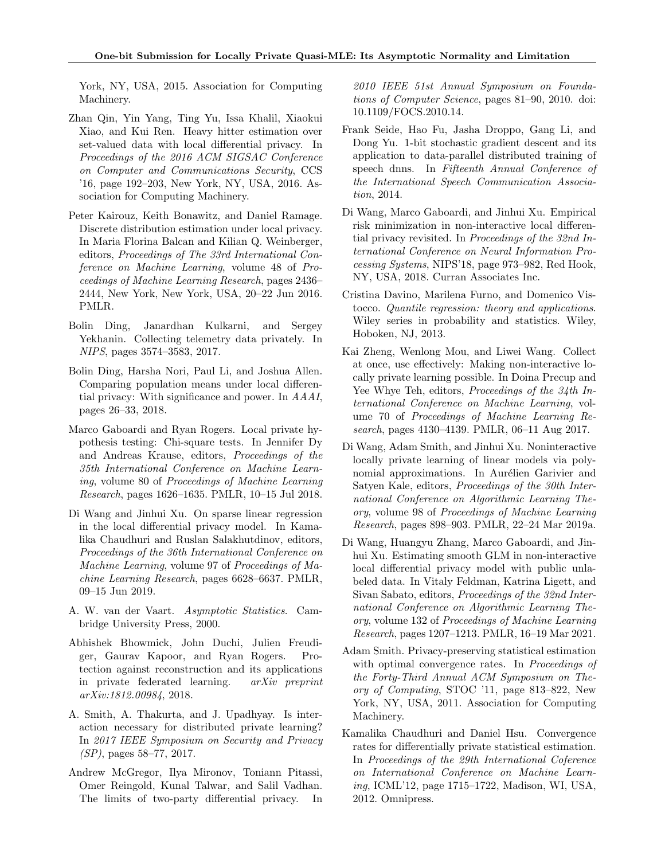York, NY, USA, 2015. Association for Computing Machinery.

- Zhan Qin, Yin Yang, Ting Yu, Issa Khalil, Xiaokui Xiao, and Kui Ren. Heavy hitter estimation over set-valued data with local differential privacy. In *Proceedings of the 2016 ACM SIGSAC Conference on Computer and Communications Security*, CCS '16, page 192–203, New York, NY, USA, 2016. Association for Computing Machinery.
- Peter Kairouz, Keith Bonawitz, and Daniel Ramage. Discrete distribution estimation under local privacy. In Maria Florina Balcan and Kilian Q. Weinberger, editors, *Proceedings of The 33rd International Conference on Machine Learning*, volume 48 of *Proceedings of Machine Learning Research*, pages 2436– 2444, New York, New York, USA, 20–22 Jun 2016. PMLR.
- Bolin Ding, Janardhan Kulkarni, and Sergey Yekhanin. Collecting telemetry data privately. In *NIPS*, pages 3574–3583, 2017.
- Bolin Ding, Harsha Nori, Paul Li, and Joshua Allen. Comparing population means under local differential privacy: With significance and power. In *AAAI*, pages 26–33, 2018.
- Marco Gaboardi and Ryan Rogers. Local private hypothesis testing: Chi-square tests. In Jennifer Dy and Andreas Krause, editors, *Proceedings of the 35th International Conference on Machine Learning*, volume 80 of *Proceedings of Machine Learning Research*, pages 1626–1635. PMLR, 10–15 Jul 2018.
- Di Wang and Jinhui Xu. On sparse linear regression in the local differential privacy model. In Kamalika Chaudhuri and Ruslan Salakhutdinov, editors, *Proceedings of the 36th International Conference on Machine Learning*, volume 97 of *Proceedings of Machine Learning Research*, pages 6628–6637. PMLR, 09–15 Jun 2019.
- A. W. van der Vaart. *Asymptotic Statistics*. Cambridge University Press, 2000.
- Abhishek Bhowmick, John Duchi, Julien Freudiger, Gaurav Kapoor, and Ryan Rogers. Protection against reconstruction and its applications in private federated learning. *arXiv preprint arXiv:1812.00984*, 2018.
- A. Smith, A. Thakurta, and J. Upadhyay. Is interaction necessary for distributed private learning? In *2017 IEEE Symposium on Security and Privacy (SP)*, pages 58–77, 2017.
- Andrew McGregor, Ilya Mironov, Toniann Pitassi, Omer Reingold, Kunal Talwar, and Salil Vadhan. The limits of two-party differential privacy. In

*2010 IEEE 51st Annual Symposium on Foundations of Computer Science*, pages 81–90, 2010. doi: 10.1109/FOCS.2010.14.

- Frank Seide, Hao Fu, Jasha Droppo, Gang Li, and Dong Yu. 1-bit stochastic gradient descent and its application to data-parallel distributed training of speech dnns. In *Fifteenth Annual Conference of the International Speech Communication Association*, 2014.
- Di Wang, Marco Gaboardi, and Jinhui Xu. Empirical risk minimization in non-interactive local differential privacy revisited. In *Proceedings of the 32nd International Conference on Neural Information Processing Systems*, NIPS'18, page 973–982, Red Hook, NY, USA, 2018. Curran Associates Inc.
- Cristina Davino, Marilena Furno, and Domenico Vistocco. *Quantile regression: theory and applications*. Wiley series in probability and statistics. Wiley, Hoboken, NJ, 2013.
- Kai Zheng, Wenlong Mou, and Liwei Wang. Collect at once, use effectively: Making non-interactive locally private learning possible. In Doina Precup and Yee Whye Teh, editors, *Proceedings of the 34th International Conference on Machine Learning*, volume 70 of *Proceedings of Machine Learning Research*, pages 4130–4139. PMLR, 06–11 Aug 2017.
- Di Wang, Adam Smith, and Jinhui Xu. Noninteractive locally private learning of linear models via polynomial approximations. In Aurélien Garivier and Satyen Kale, editors, *Proceedings of the 30th International Conference on Algorithmic Learning Theory*, volume 98 of *Proceedings of Machine Learning Research*, pages 898–903. PMLR, 22–24 Mar 2019a.
- Di Wang, Huangyu Zhang, Marco Gaboardi, and Jinhui Xu. Estimating smooth GLM in non-interactive local differential privacy model with public unlabeled data. In Vitaly Feldman, Katrina Ligett, and Sivan Sabato, editors, *Proceedings of the 32nd International Conference on Algorithmic Learning Theory*, volume 132 of *Proceedings of Machine Learning Research*, pages 1207–1213. PMLR, 16–19 Mar 2021.
- Adam Smith. Privacy-preserving statistical estimation with optimal convergence rates. In *Proceedings of the Forty-Third Annual ACM Symposium on Theory of Computing*, STOC '11, page 813–822, New York, NY, USA, 2011. Association for Computing Machinery.
- Kamalika Chaudhuri and Daniel Hsu. Convergence rates for differentially private statistical estimation. In *Proceedings of the 29th International Coference on International Conference on Machine Learning*, ICML'12, page 1715–1722, Madison, WI, USA, 2012. Omnipress.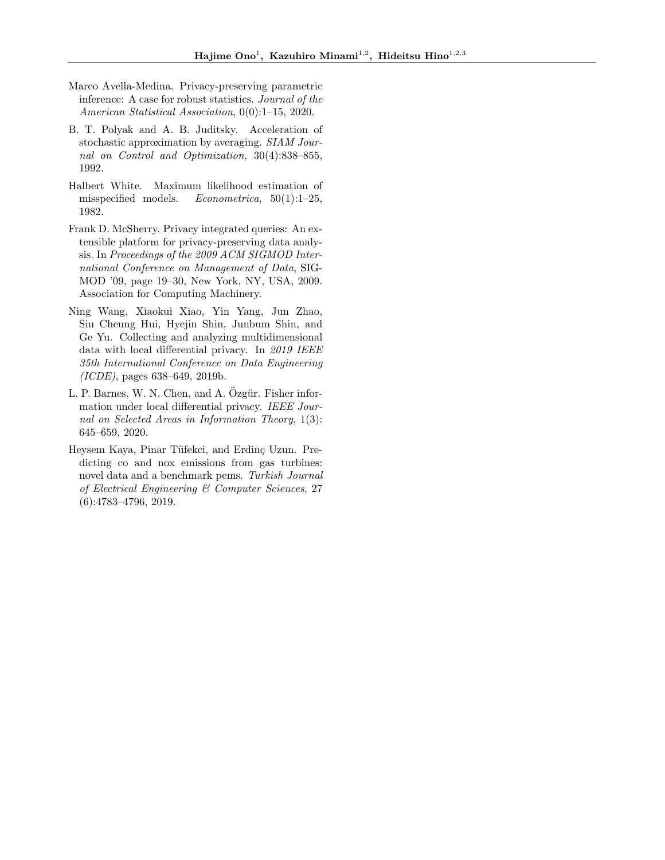- Marco Avella-Medina. Privacy-preserving parametric inference: A case for robust statistics. *Journal of the American Statistical Association*, 0(0):1–15, 2020.
- B. T. Polyak and A. B. Juditsky. Acceleration of stochastic approximation by averaging. *SIAM Journal on Control and Optimization*, 30(4):838–855, 1992.
- Halbert White. Maximum likelihood estimation of misspecified models. *Econometrica*, 50(1):1–25, 1982.
- Frank D. McSherry. Privacy integrated queries: An extensible platform for privacy-preserving data analysis. In *Proceedings of the 2009 ACM SIGMOD International Conference on Management of Data*, SIG-MOD '09, page 19–30, New York, NY, USA, 2009. Association for Computing Machinery.
- Ning Wang, Xiaokui Xiao, Yin Yang, Jun Zhao, Siu Cheung Hui, Hyejin Shin, Junbum Shin, and Ge Yu. Collecting and analyzing multidimensional data with local differential privacy. In 2019 IEEE *35th International Conference on Data Engineering (ICDE)*, pages 638–649, 2019b.
- L. P. Barnes, W. N. Chen, and A. Özgür. Fisher information under local differential privacy. *IEEE Journal on Selected Areas in Information Theory*, 1(3): 645–659, 2020.
- Heysem Kaya, Pinar Tüfekci, and Erding Uzun. Predicting co and nox emissions from gas turbines: novel data and a benchmark pems. *Turkish Journal of Electrical Engineering & Computer Sciences*, 27 (6):4783–4796, 2019.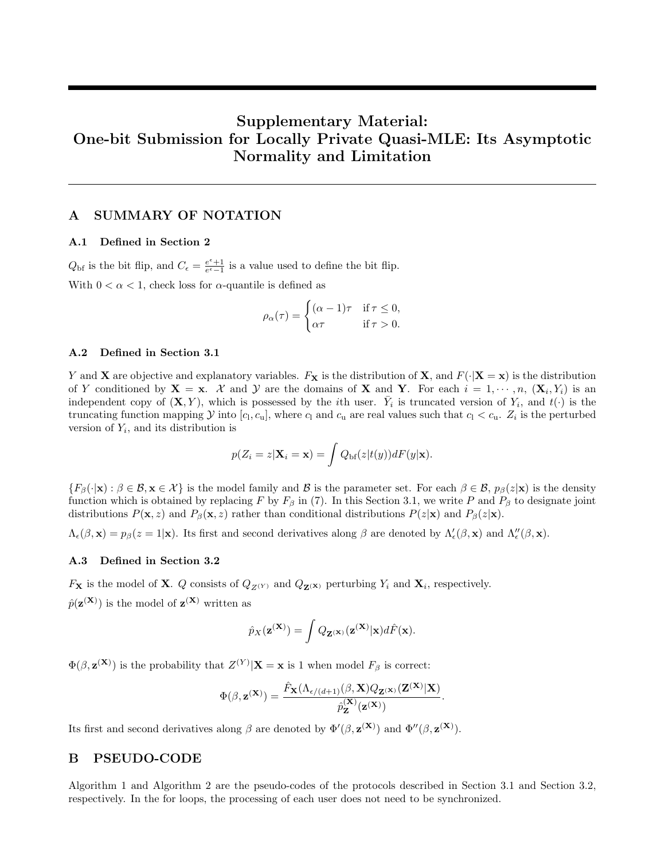# Supplementary Material: One-bit Submission for Locally Private Quasi-MLE: Its Asymptotic Normality and Limitation

# A SUMMARY OF NOTATION

### A.1 Defined in Section 2

 $Q_{\text{bf}}$  is the bit flip, and  $C_{\epsilon} = \frac{e^{\epsilon}+1}{e^{\epsilon}-1}$  is a value used to define the bit flip. With  $0 < \alpha < 1$ , check loss for  $\alpha$ -quantile is defined as

$$
\rho_{\alpha}(\tau) = \begin{cases} (\alpha - 1)\tau & \text{if } \tau \leq 0, \\ \alpha \tau & \text{if } \tau > 0. \end{cases}
$$

### A.2 Defined in Section 3.1

*Y* and **X** are objective and explanatory variables.  $F_X$  is the distribution of **X**, and  $F(\cdot|\mathbf{X}=\mathbf{x})$  is the distribution of *Y* conditioned by  $X = x$ . *X* and *Y* are the domains of X and Y. For each  $i = 1, \dots, n$ ,  $(X_i, Y_i)$  is an independent copy of  $(X, Y)$ , which is possessed by the *i*th user.  $Y_i$  is truncated version of  $Y_i$ , and  $t(\cdot)$  is the truncating function mapping *Y* into  $[c_1, c_u]$ , where  $c_1$  and  $c_u$  are real values such that  $c_1 < c_u$ .  $Z_i$  is the perturbed version of *Yi*, and its distribution is

$$
p(Z_i = z | \mathbf{X}_i = \mathbf{x}) = \int Q_{\text{bf}}(z | t(y)) dF(y | \mathbf{x}).
$$

 ${F_{\beta}(\cdot|\mathbf{x}): \beta \in \mathcal{B}, \mathbf{x} \in \mathcal{X}}$  is the model family and *B* is the parameter set. For each  $\beta \in \mathcal{B}, p_{\beta}(z|\mathbf{x})$  is the density function which is obtained by replacing F by  $F_\beta$  in (7). In this Section 3.1, we write P and  $P_\beta$  to designate joint distributions  $P(\mathbf{x}, z)$  and  $P_\beta(\mathbf{x}, z)$  rather than conditional distributions  $P(z|\mathbf{x})$  and  $P_\beta(z|\mathbf{x})$ .

 $\Lambda_{\epsilon}(\beta, \mathbf{x}) = p_{\beta}(z=1|\mathbf{x})$ . Its first and second derivatives along  $\beta$  are denoted by  $\Lambda_{\epsilon}'(\beta, \mathbf{x})$  and  $\Lambda_{\epsilon}''(\beta, \mathbf{x})$ .

#### A.3 Defined in Section 3.2

*F***x** is the model of **X**. *Q* consists of  $Q_{Z(Y)}$  and  $Q_{Z(X)}$  perturbing  $Y_i$  and  $\mathbf{X}_i$ , respectively.  $\hat{p}(\mathbf{z}^{(\mathbf{X})})$  is the model of  $\mathbf{z}^{(\mathbf{X})}$  written as

$$
\hat{p}_X(\mathbf{z}^{(\mathbf{X})}) = \int Q_{\mathbf{Z}^{(\mathbf{X})}}(\mathbf{z}^{(\mathbf{X})}|\mathbf{x}) d\hat{F}(\mathbf{x}).
$$

 $\Phi(\beta, \mathbf{z}^{(\mathbf{X})})$  is the probability that  $Z^{(Y)}|\mathbf{X} = \mathbf{x}$  is 1 when model  $F_{\beta}$  is correct:

$$
\Phi(\boldsymbol{\beta},\mathbf{z}^{(\mathbf{X})})=\frac{\hat{F}_{\mathbf{X}}(\Lambda_{\epsilon/(d+1)}(\boldsymbol{\beta},\mathbf{X})Q_{\mathbf{Z}^{(\mathbf{X})}}(\mathbf{Z}^{(\mathbf{X})}|\mathbf{X})}{\hat{p}^{(\mathbf{X})}_{\mathbf{Z}}(\mathbf{z}^{(\mathbf{X})})}.
$$

Its first and second derivatives along  $\beta$  are denoted by  $\Phi'(\beta, \mathbf{z}^{(\mathbf{X})})$  and  $\Phi''(\beta, \mathbf{z}^{(\mathbf{X})})$ .

# B PSEUDO-CODE

Algorithm 1 and Algorithm 2 are the pseudo-codes of the protocols described in Section 3.1 and Section 3.2, respectively. In the for loops, the processing of each user does not need to be synchronized.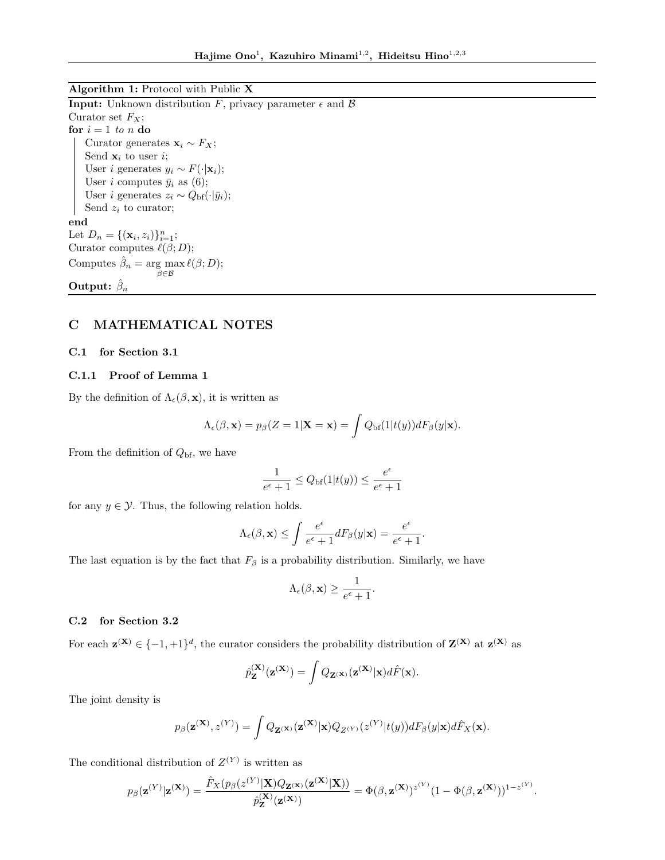Algorithm 1: Protocol with Public X

**Input:** Unknown distribution *F*, privacy parameter  $\epsilon$  and  $\beta$ Curator set *FX*; for  $i = 1$  *to*  $n$  do Curator generates  $\mathbf{x}_i \sim F_X$ ; Send  $\mathbf{x}_i$  to user *i*; User *i* generates  $y_i \sim F(\cdot|\mathbf{x}_i);$ User *i* computes  $\bar{y}_i$  as (6); User *i* generates  $z_i \sim Q_{\text{bf}}(\cdot | \bar{y}_i);$ Send *z<sup>i</sup>* to curator; end Let  $D_n = \{(\mathbf{x}_i, z_i)\}_{i=1}^n$ ; Curator computes  $\ell(\beta; D);$ Computes  $\hat{\beta}_n = \arg \max$  $\beta \in \mathcal{B}$  $\ell(\beta; D);$ Output:  $\hat{\beta}_n$ 

# C MATHEMATICAL NOTES

### C.1 for Section 3.1

## C.1.1 Proof of Lemma 1

By the definition of  $\Lambda_{\epsilon}(\beta, \mathbf{x})$ , it is written as

$$
\Lambda_{\epsilon}(\beta, \mathbf{x}) = p_{\beta}(Z = 1 | \mathbf{X} = \mathbf{x}) = \int Q_{\mathrm{bf}}(1 | t(y)) dF_{\beta}(y | \mathbf{x}).
$$

From the definition of *Q*bf, we have

$$
\frac{1}{e^{\epsilon} + 1} \le Q_{\text{bf}}(1|t(y)) \le \frac{e^{\epsilon}}{e^{\epsilon} + 1}
$$

for any  $y \in \mathcal{Y}$ . Thus, the following relation holds.

$$
\Lambda_{\epsilon}(\beta, \mathbf{x}) \leq \int \frac{e^{\epsilon}}{e^{\epsilon} + 1} dF_{\beta}(y|\mathbf{x}) = \frac{e^{\epsilon}}{e^{\epsilon} + 1}.
$$

The last equation is by the fact that  $F_\beta$  is a probability distribution. Similarly, we have

$$
\Lambda_{\epsilon}(\beta, \mathbf{x}) \ge \frac{1}{e^{\epsilon} + 1}.
$$

### C.2 for Section 3.2

For each  $z^{(X)} \in \{-1, +1\}^d$ , the curator considers the probability distribution of  $Z^{(X)}$  at  $z^{(X)}$  as

$$
\hat{p}_{\mathbf{Z}}^{(\mathbf{X})}(\mathbf{z}^{(\mathbf{X})}) = \int Q_{\mathbf{Z}^{(\mathbf{X})}}(\mathbf{z}^{(\mathbf{X})}|\mathbf{x}) d\hat{F}(\mathbf{x}).
$$

The joint density is

$$
p_{\beta}(\mathbf{z}^{(\mathbf{X})},z^{(Y)}) = \int Q_{\mathbf{Z}^{(\mathbf{X})}}(\mathbf{z}^{(\mathbf{X})}|\mathbf{x})Q_{Z^{(Y)}}(z^{(Y)}|t(y))dF_{\beta}(y|\mathbf{x})d\hat{F}_{X}(\mathbf{x}).
$$

The conditional distribution of  $Z^{(Y)}$  is written as

$$
p_{\boldsymbol{\beta}}(\mathbf{z}^{(Y)}|\mathbf{z}^{(\mathbf{X})}) = \frac{\hat{F}_X(p_{\boldsymbol{\beta}}(z^{(Y)}|\mathbf{X})Q_{\mathbf{Z}^{(\mathbf{X)}}}(\mathbf{z}^{(\mathbf{X})}|\mathbf{X}))}{\hat{p}_{\mathbf{Z}}^{(\mathbf{X})}(\mathbf{z}^{(\mathbf{X})})} = \Phi(\boldsymbol{\beta},\mathbf{z}^{(\mathbf{X})})^{z^{(Y)}}(1-\Phi(\boldsymbol{\beta},\mathbf{z}^{(\mathbf{X})}))^{1-z^{(Y)}}.
$$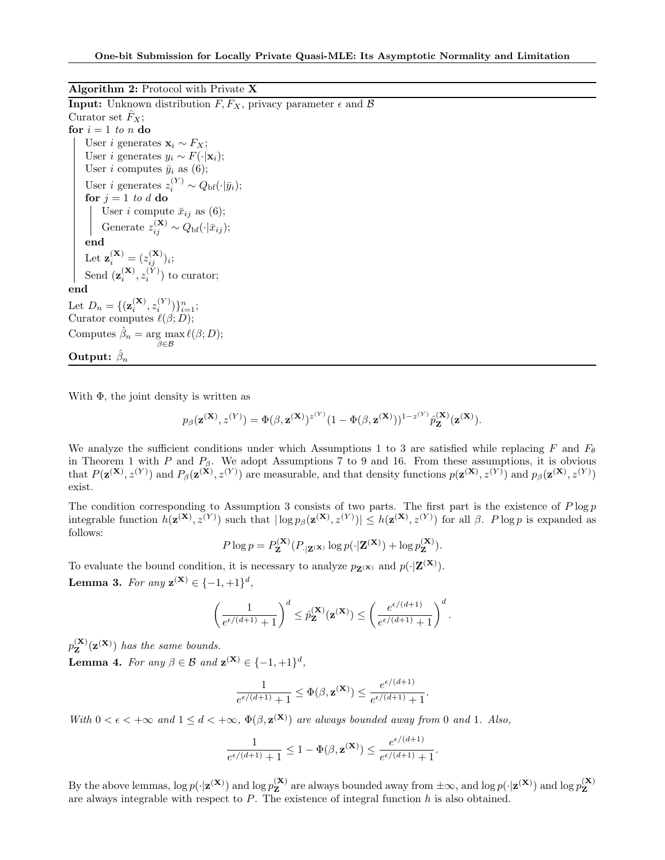Algorithm 2: Protocol with Private X **Input:** Unknown distribution  $F, F_X$ , privacy parameter  $\epsilon$  and  $\beta$ Curator set  $F_X$ ; for  $i = 1$  *to*  $n$  do User *i* generates  $\mathbf{x}_i \sim F_X$ ; User *i* generates  $y_i \sim F(\cdot|\mathbf{x}_i);$ User *i* computes  $\bar{y}_i$  as (6); User *i* generates  $z_i^{(Y)} \sim Q_{\text{bf}}(\cdot | \bar{y}_i);$ for  $j = 1$  *to d* do User *i* compute  $\bar{x}_{ij}$  as (6); Generate  $z_{ij}^{(\mathbf{X})} \sim Q_{\text{bf}}(\cdot | \bar{x}_{ij});$ end Let  $\mathbf{z}_i^{(\mathbf{X})} = (z_{ij}^{(\mathbf{X})})_i;$ Send  $(\mathbf{z}_i^{(\mathbf{X})}, z_i^{(Y)})$  to curator; end Let  $D_n = \{ (\mathbf{z}_i^{(\mathbf{X})}, z_i^{(Y)}) \}_{i=1}^n;$ Curator computes  $\ell(\beta; D);$ Computes  $\hat{\beta}_n = \arg \max$  $\beta \in \mathcal{B}$  $\ell(\beta; D);$ Output:  $\hat{\beta}_n$ 

With  $\Phi$ , the joint density is written as

$$
p_{\beta}(\mathbf{z}^{(\mathbf{X})}, z^{(Y)}) = \Phi(\beta, \mathbf{z}^{(\mathbf{X})})^{z^{(Y)}} (1 - \Phi(\beta, \mathbf{z}^{(\mathbf{X})}))^{1 - z^{(Y)}} \hat{p}_{\mathbf{Z}}^{(\mathbf{X})}(\mathbf{z}^{(\mathbf{X})}).
$$

We analyze the sufficient conditions under which Assumptions 1 to 3 are satisfied while replacing *F* and  $F_{\theta}$ in Theorem 1 with *P* and  $P_{\beta}$ . We adopt Assumptions 7 to 9 and 16. From these assumptions, it is obvious that  $P(\mathbf{z}^{(\mathbf{X})}, z^{(Y)})$  and  $P_\beta(\mathbf{z}^{(\mathbf{X})}, z^{(Y)})$  are measurable, and that density functions  $p(\mathbf{z}^{(\mathbf{X})}, z^{(Y)})$  and  $p_\beta(\mathbf{z}^{(\mathbf{X})}, z^{(Y)})$ exist.

The condition corresponding to Assumption 3 consists of two parts. The first part is the existence of *P* log *p* integrable function  $h(\mathbf{z}^{(\mathbf{X})}, z^{(Y)})$  such that  $|\log p_{\beta}(\mathbf{z}^{(\mathbf{X})}, z^{(Y)})| \leq h(\mathbf{z}^{(\mathbf{X})}, z^{(Y)})$  for all  $\beta$ . *P* log *p* is expanded as follows:

$$
P \log p = P_{\mathbf{Z}}^{(\mathbf{X})}(P_{|\mathbf{Z}^{(\mathbf{X})}} \log p(\cdot|\mathbf{Z}^{(\mathbf{X})}) + \log p_{\mathbf{Z}}^{(\mathbf{X})}).
$$

To evaluate the bound condition, it is necessary to analyze  $p_{\mathbf{Z}(\mathbf{x})}$  and  $p(\cdot|\mathbf{Z}(\mathbf{x}))$ . **Lemma 3.** For any  $z^{(X)} \in \{-1, +1\}^d$ ,

$$
\left(\frac{1}{e^{\epsilon/(d+1)}+1}\right)^d\leq \hat{p}^{(\mathbf{X})}_{\mathbf{Z}}(\mathbf{z}^{(\mathbf{X})})\leq \left(\frac{e^{\epsilon/(d+1)}}{e^{\epsilon/(d+1)}+1}\right)^d.
$$

 $p_{\mathbf{Z}}^{(\mathbf{X})}(\mathbf{z}^{(\mathbf{X})})$  *has the same bounds.* 

**Lemma 4.** For any  $\beta \in \mathcal{B}$  and  $\mathbf{z}^{(\mathbf{X})} \in \{-1, +1\}^d$ ,

$$
\frac{1}{e^{\epsilon/(d+1)}+1} \leq \Phi(\beta, \mathbf{z}^{(\mathbf{X})}) \leq \frac{e^{\epsilon/(d+1)}}{e^{\epsilon/(d+1)}+1}.
$$

*With*  $0 < \epsilon < +\infty$  *and*  $1 \leq d < +\infty$ ,  $\Phi(\beta, \mathbf{z}^{(\mathbf{X})})$  *are always bounded away from* 0 *and* 1*. Also*,

$$
\frac{1}{e^{\epsilon/(d+1)}+1} \leq 1 - \Phi(\beta, \mathbf{z}^{(\mathbf{X})}) \leq \frac{e^{\epsilon/(d+1)}}{e^{\epsilon/(d+1)}+1}.
$$

By the above lemmas,  $\log p(\cdot|\mathbf{z}^{(\mathbf{X})})$  and  $\log p_{\mathbf{Z}}^{(\mathbf{X})}$  are always bounded away from  $\pm \infty$ , and  $\log p(\cdot|\mathbf{z}^{(\mathbf{X})})$  and  $\log p_{\mathbf{Z}}^{(\mathbf{X})}$ Z are always integrable with respect to *P*. The existence of integral function *h* is also obtained.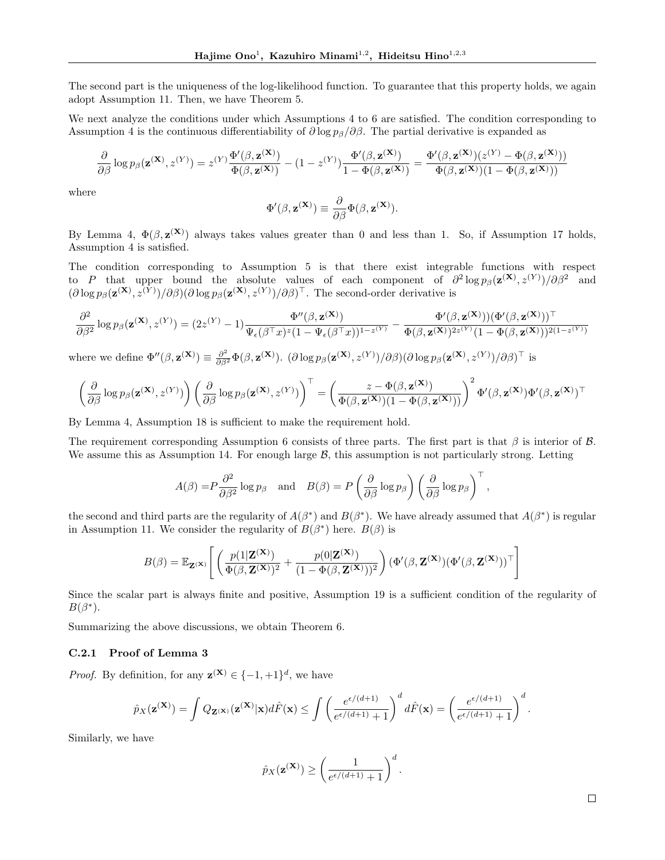The second part is the uniqueness of the log-likelihood function. To guarantee that this property holds, we again adopt Assumption 11. Then, we have Theorem 5.

We next analyze the conditions under which Assumptions 4 to 6 are satisfied. The condition corresponding to Assumption 4 is the continuous differentiability of  $\partial \log p_\beta/\partial \beta$ . The partial derivative is expanded as

$$
\frac{\partial}{\partial \beta} \log p_{\beta}(\mathbf{z}^{(\mathbf{X})}, z^{(Y)}) = z^{(Y)} \frac{\Phi'(\beta, \mathbf{z}^{(\mathbf{X})})}{\Phi(\beta, \mathbf{z}^{(\mathbf{X})})} - (1 - z^{(Y)}) \frac{\Phi'(\beta, \mathbf{z}^{(\mathbf{X})})}{1 - \Phi(\beta, \mathbf{z}^{(\mathbf{X})})} = \frac{\Phi'(\beta, \mathbf{z}^{(\mathbf{X})})(z^{(Y)} - \Phi(\beta, \mathbf{z}^{(\mathbf{X})}))}{\Phi(\beta, \mathbf{z}^{(\mathbf{X})})(1 - \Phi(\beta, \mathbf{z}^{(\mathbf{X})}))}
$$

where

$$
\Phi'(\beta, \mathbf{z}^{(\mathbf{X})}) \equiv \frac{\partial}{\partial \beta} \Phi(\beta, \mathbf{z}^{(\mathbf{X})}).
$$

By Lemma 4,  $\Phi(\beta, \mathbf{z}^{(\mathbf{X})})$  always takes values greater than 0 and less than 1. So, if Assumption 17 holds, Assumption 4 is satisfied.

The condition corresponding to Assumption 5 is that there exist integrable functions with respect to *P* that upper bound the absolute values of each component of  $\partial^2 \log p_{\beta}(\mathbf{z}^{(\mathbf{X})}, z^{(Y)})/\partial \beta^2$  and  $(\partial \log p_{\beta}(\mathbf{z}^{(\mathbf{X})}, z^{(Y)})/\partial \beta)(\partial \log p_{\beta}(\mathbf{z}^{(\mathbf{X})}, z^{(Y)})/\partial \beta)^{\top}$ . The second-order derivative is

$$
\frac{\partial^2}{\partial\beta^2}\log p_\beta(\mathbf{z}^{(\mathbf{X})},z^{(Y)})=(2z^{(Y)}-1)\frac{\Phi''(\beta,\mathbf{z}^{(\mathbf{X})})}{\Psi_\epsilon(\beta^\top x)^z(1-\Psi_\epsilon(\beta^\top x))^{1-z^{(Y)}}}-\frac{\Phi'(\beta,\mathbf{z}^{(\mathbf{X})}))(\Phi'(\beta,\mathbf{z}^{(\mathbf{X})}))^\top}{\Phi(\beta,\mathbf{z}^{(\mathbf{X})})^{2z^{(Y)}}(1-\Phi(\beta,\mathbf{z}^{(\mathbf{X})}))^{2(1-z^{(Y)})}}
$$

where we define  $\Phi''(\beta, \mathbf{z}^{(\mathbf{X})}) \equiv \frac{\partial^2}{\partial \beta^2} \Phi(\beta, \mathbf{z}^{(\mathbf{X})})$ .  $(\partial \log p_\beta(\mathbf{z}^{(\mathbf{X})}, z^{(Y)})/\partial \beta)(\partial \log p_\beta(\mathbf{z}^{(\mathbf{X})}, z^{(Y)})/\partial \beta)^{\top}$  is

$$
\left(\frac{\partial}{\partial \beta} \log p_{\beta}(\mathbf{z}^{(\mathbf{X})}, z^{(Y)})\right) \left(\frac{\partial}{\partial \beta} \log p_{\beta}(\mathbf{z}^{(\mathbf{X})}, z^{(Y)})\right)^{\top} = \left(\frac{z - \Phi(\beta, \mathbf{z}^{(\mathbf{X})})}{\Phi(\beta, \mathbf{z}^{(\mathbf{X})})(1 - \Phi(\beta, \mathbf{z}^{(\mathbf{X})}))}\right)^2 \Phi'(\beta, \mathbf{z}^{(\mathbf{X})}) \Phi'(\beta, \mathbf{z}^{(\mathbf{X})})^{\top}
$$

By Lemma 4, Assumption 18 is sufficient to make the requirement hold.

The requirement corresponding Assumption 6 consists of three parts. The first part is that  $\beta$  is interior of  $\beta$ . We assume this as Assumption 14. For enough large  $\beta$ , this assumption is not particularly strong. Letting

$$
A(\beta) = P \frac{\partial^2}{\partial \beta^2} \log p_\beta \quad \text{and} \quad B(\beta) = P \left( \frac{\partial}{\partial \beta} \log p_\beta \right) \left( \frac{\partial}{\partial \beta} \log p_\beta \right)^{\top},
$$

the second and third parts are the regularity of  $A(\beta^*)$  and  $B(\beta^*)$ . We have already assumed that  $A(\beta^*)$  is regular in Assumption 11. We consider the regularity of  $B(\beta^*)$  here.  $B(\beta)$  is

$$
B(\beta) = \mathbb{E}_{\mathbf{Z}^{(\mathbf{X})}} \left[ \left( \frac{p(1|\mathbf{Z}^{(\mathbf{X})})}{\Phi(\beta, \mathbf{Z}^{(\mathbf{X})})^2} + \frac{p(0|\mathbf{Z}^{(\mathbf{X})})}{(1 - \Phi(\beta, \mathbf{Z}^{(\mathbf{X})}))^2} \right) (\Phi'(\beta, \mathbf{Z}^{(\mathbf{X})}) (\Phi'(\beta, \mathbf{Z}^{(\mathbf{X})}))^\top \right]
$$

Since the scalar part is always finite and positive, Assumption 19 is a sufficient condition of the regularity of  $B(\beta^*).$ 

Summarizing the above discussions, we obtain Theorem 6.

#### C.2.1 Proof of Lemma 3

*Proof.* By definition, for any  $\mathbf{z}^{(\mathbf{X})} \in \{-1, +1\}^d$ , we have

$$
\hat{p}_X(\mathbf{z}(\mathbf{x})) = \int Q_{\mathbf{Z}(\mathbf{x})}(\mathbf{z}(\mathbf{x})|\mathbf{x})d\hat{F}(\mathbf{x}) \le \int \left(\frac{e^{\epsilon/(d+1)}}{e^{\epsilon/(d+1)}+1}\right)^d d\hat{F}(\mathbf{x}) = \left(\frac{e^{\epsilon/(d+1)}}{e^{\epsilon/(d+1)}+1}\right)^d.
$$

Similarly, we have

$$
\hat{p}_X(\mathbf{z}^{(\mathbf{X})}) \ge \left(\frac{1}{e^{\epsilon/(d+1)}+1}\right)^d.
$$

 $\Box$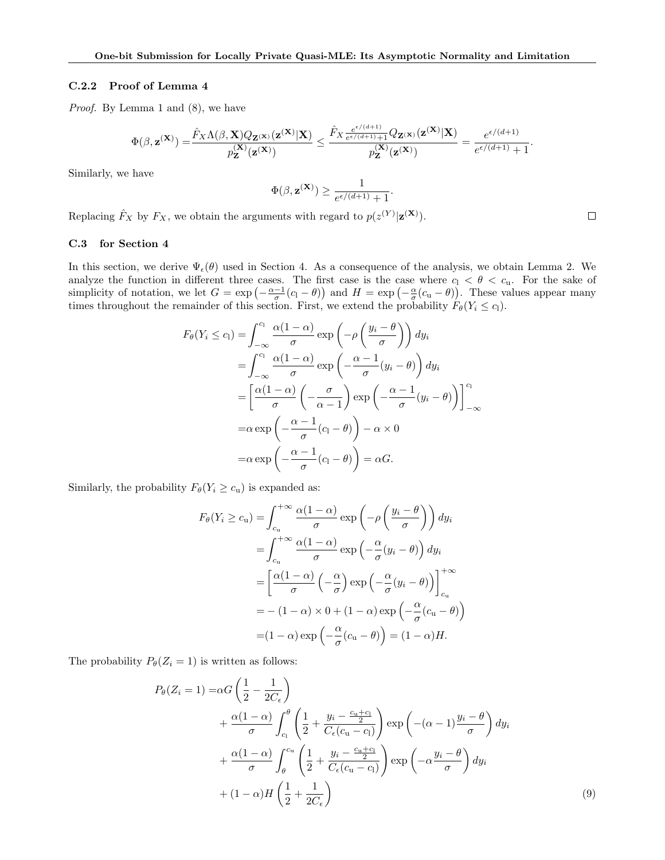#### C.2.2 Proof of Lemma 4

*Proof.* By Lemma 1 and  $(8)$ , we have

$$
\Phi(\beta, \mathbf{z}^{(\mathbf{X})}) = \frac{\hat{F}_X \Lambda(\beta, \mathbf{X}) Q_{\mathbf{Z}^{(\mathbf{X})}}(\mathbf{z}^{(\mathbf{X})}|\mathbf{X})}{p_{\mathbf{Z}}^{(\mathbf{X})}(\mathbf{z}^{(\mathbf{X})})} \leq \frac{\hat{F}_X \frac{e^{\epsilon/(d+1)}}{e^{\epsilon/(d+1)}+1} Q_{\mathbf{Z}^{(\mathbf{X})}}(\mathbf{z}^{(\mathbf{X})}|\mathbf{X})}{p_{\mathbf{Z}}^{(\mathbf{X})}(\mathbf{z}^{(\mathbf{X})})} = \frac{e^{\epsilon/(d+1)}}{e^{\epsilon/(d+1)}+1}.
$$

Similarly, we have

$$
\Phi(\beta, \mathbf{z}^{(\mathbf{X})}) \geq \frac{1}{e^{\epsilon/(d+1)}+1}.
$$

Replacing  $\hat{F}_X$  by  $F_X$ , we obtain the arguments with regard to  $p(z^{(Y)}|\mathbf{z}^{(\mathbf{X})})$ .

### C.3 for Section 4

In this section, we derive  $\Psi_{\epsilon}(\theta)$  used in Section 4. As a consequence of the analysis, we obtain Lemma 2. We analyze the function in different three cases. The first case is the case where  $c_1 < \theta < c_u$ . For the sake of simplicity of notation, we let  $G = \exp(-\frac{\alpha-1}{\sigma}(c_1 - \theta))$  and  $H = \exp(-\frac{\alpha}{\sigma}(c_1 - \theta))$ . These values appear many times throughout the remainder of this section. First, we extend the probability  $F_{\theta}(Y_i \leq c_1)$ .

$$
F_{\theta}(Y_{i} \leq c_{l}) = \int_{-\infty}^{c_{l}} \frac{\alpha(1-\alpha)}{\sigma} \exp\left(-\rho\left(\frac{y_{i}-\theta}{\sigma}\right)\right) dy_{i}
$$
  

$$
= \int_{-\infty}^{c_{l}} \frac{\alpha(1-\alpha)}{\sigma} \exp\left(-\frac{\alpha-1}{\sigma}(y_{i}-\theta)\right) dy_{i}
$$
  

$$
= \left[\frac{\alpha(1-\alpha)}{\sigma}\left(-\frac{\sigma}{\alpha-1}\right) \exp\left(-\frac{\alpha-1}{\sigma}(y_{i}-\theta)\right)\right]_{-\infty}^{c_{l}}
$$
  

$$
= \alpha \exp\left(-\frac{\alpha-1}{\sigma}(c_{l}-\theta)\right) - \alpha \times 0
$$
  

$$
= \alpha \exp\left(-\frac{\alpha-1}{\sigma}(c_{l}-\theta)\right) = \alpha G.
$$

Similarly, the probability  $F_{\theta}(Y_i \ge c_u)$  is expanded as:

$$
F_{\theta}(Y_i \ge c_{\mathbf{u}}) = \int_{c_{\mathbf{u}}}^{+\infty} \frac{\alpha(1-\alpha)}{\sigma} \exp\left(-\rho \left(\frac{y_i - \theta}{\sigma}\right)\right) dy_i
$$
  

$$
= \int_{c_{\mathbf{u}}}^{+\infty} \frac{\alpha(1-\alpha)}{\sigma} \exp\left(-\frac{\alpha}{\sigma}(y_i - \theta)\right) dy_i
$$
  

$$
= \left[\frac{\alpha(1-\alpha)}{\sigma} \left(-\frac{\alpha}{\sigma}\right) \exp\left(-\frac{\alpha}{\sigma}(y_i - \theta)\right)\right]_{c_{\mathbf{u}}}^{+\infty}
$$
  

$$
= -(1-\alpha) \times 0 + (1-\alpha) \exp\left(-\frac{\alpha}{\sigma}(c_{\mathbf{u}} - \theta)\right)
$$
  

$$
= (1-\alpha) \exp\left(-\frac{\alpha}{\sigma}(c_{\mathbf{u}} - \theta)\right) = (1-\alpha)H.
$$

The probability  $P_{\theta}(Z_i = 1)$  is written as follows:

$$
P_{\theta}(Z_i = 1) = \alpha G \left(\frac{1}{2} - \frac{1}{2C_{\epsilon}}\right)
$$
  
+ 
$$
\frac{\alpha (1 - \alpha)}{\sigma} \int_{c_1}^{\theta} \left(\frac{1}{2} + \frac{y_i - \frac{c_u + c_1}{2}}{C_{\epsilon}(c_u - c_1)}\right) \exp\left(-(\alpha - 1)\frac{y_i - \theta}{\sigma}\right) dy_i
$$
  
+ 
$$
\frac{\alpha (1 - \alpha)}{\sigma} \int_{\theta}^{c_u} \left(\frac{1}{2} + \frac{y_i - \frac{c_u + c_1}{2}}{C_{\epsilon}(c_u - c_1)}\right) \exp\left(-\alpha \frac{y_i - \theta}{\sigma}\right) dy_i
$$
  
+ 
$$
(1 - \alpha)H \left(\frac{1}{2} + \frac{1}{2C_{\epsilon}}\right)
$$

 $\Box$ 

(9)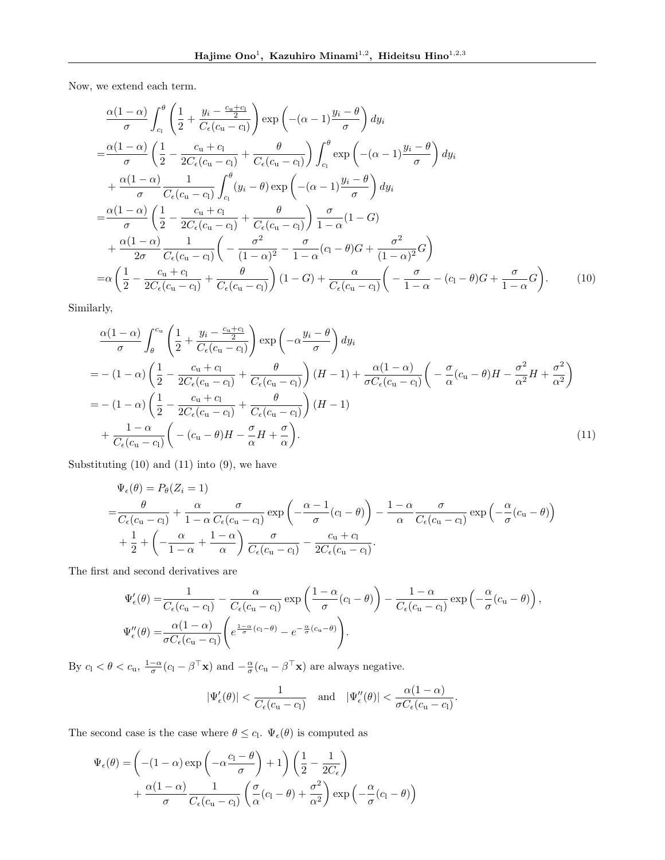Now, we extend each term.

$$
\frac{\alpha(1-\alpha)}{\sigma} \int_{c_1}^{\theta} \left( \frac{1}{2} + \frac{y_i - \frac{c_0 + c_1}{2}}{C_{\epsilon}(c_0 - c_1)} \right) \exp\left( -(\alpha - 1) \frac{y_i - \theta}{\sigma} \right) dy_i
$$
\n
$$
= \frac{\alpha(1-\alpha)}{\sigma} \left( \frac{1}{2} - \frac{c_0 + c_1}{2C_{\epsilon}(c_0 - c_1)} + \frac{\theta}{C_{\epsilon}(c_0 - c_1)} \right) \int_{c_1}^{\theta} \exp\left( -(\alpha - 1) \frac{y_i - \theta}{\sigma} \right) dy_i
$$
\n
$$
+ \frac{\alpha(1-\alpha)}{\sigma} \frac{1}{C_{\epsilon}(c_0 - c_1)} \int_{c_1}^{\theta} (y_i - \theta) \exp\left( -(\alpha - 1) \frac{y_i - \theta}{\sigma} \right) dy_i
$$
\n
$$
= \frac{\alpha(1-\alpha)}{\sigma} \left( \frac{1}{2} - \frac{c_0 + c_1}{2C_{\epsilon}(c_0 - c_1)} + \frac{\theta}{C_{\epsilon}(c_0 - c_1)} \right) \frac{\sigma}{1 - \alpha} (1 - G)
$$
\n
$$
+ \frac{\alpha(1-\alpha)}{2\sigma} \frac{1}{C_{\epsilon}(c_0 - c_1)} \left( -\frac{\sigma^2}{(1-\alpha)^2} - \frac{\sigma}{1 - \alpha} (c_1 - \theta) G + \frac{\sigma^2}{(1-\alpha)^2} G \right)
$$
\n
$$
= \alpha \left( \frac{1}{2} - \frac{c_0 + c_1}{2C_{\epsilon}(c_0 - c_1)} + \frac{\theta}{C_{\epsilon}(c_0 - c_1)} \right) (1 - G) + \frac{\alpha}{C_{\epsilon}(c_0 - c_1)} \left( -\frac{\sigma}{1 - \alpha} - (c_1 - \theta) G + \frac{\sigma}{1 - \alpha} G \right).
$$
\n(10)

Similarly,

$$
\frac{\alpha(1-\alpha)}{\sigma} \int_{\theta}^{c_u} \left( \frac{1}{2} + \frac{y_i - \frac{c_u + c_l}{2}}{C_{\epsilon}(c_u - c_l)} \right) \exp\left( -\alpha \frac{y_i - \theta}{\sigma} \right) dy_i
$$
\n
$$
= -(1-\alpha) \left( \frac{1}{2} - \frac{c_u + c_l}{2C_{\epsilon}(c_u - c_l)} + \frac{\theta}{C_{\epsilon}(c_u - c_l)} \right) (H - 1) + \frac{\alpha(1-\alpha)}{\sigma C_{\epsilon}(c_u - c_l)} \left( -\frac{\sigma}{\alpha}(c_u - \theta)H - \frac{\sigma^2}{\alpha^2}H + \frac{\sigma^2}{\alpha^2} \right)
$$
\n
$$
= -(1-\alpha) \left( \frac{1}{2} - \frac{c_u + c_l}{2C_{\epsilon}(c_u - c_l)} + \frac{\theta}{C_{\epsilon}(c_u - c_l)} \right) (H - 1)
$$
\n
$$
+ \frac{1-\alpha}{C_{\epsilon}(c_u - c_l)} \left( -(c_u - \theta)H - \frac{\sigma}{\alpha}H + \frac{\sigma}{\alpha} \right).
$$
\n(11)

Substituting  $(10)$  and  $(11)$  into  $(9)$ , we have

$$
\Psi_{\epsilon}(\theta) = P_{\theta}(Z_{i} = 1)
$$
\n
$$
= \frac{\theta}{C_{\epsilon}(c_{u} - c_{l})} + \frac{\alpha}{1 - \alpha} \frac{\sigma}{C_{\epsilon}(c_{u} - c_{l})} \exp\left(-\frac{\alpha - 1}{\sigma}(c_{l} - \theta)\right) - \frac{1 - \alpha}{\alpha} \frac{\sigma}{C_{\epsilon}(c_{u} - c_{l})} \exp\left(-\frac{\alpha}{\sigma}(c_{u} - \theta)\right)
$$
\n
$$
+ \frac{1}{2} + \left(-\frac{\alpha}{1 - \alpha} + \frac{1 - \alpha}{\alpha}\right) \frac{\sigma}{C_{\epsilon}(c_{u} - c_{l})} - \frac{c_{u} + c_{l}}{2C_{\epsilon}(c_{u} - c_{l})}.
$$

The first and second derivatives are

$$
\Psi'_{\epsilon}(\theta) = \frac{1}{C_{\epsilon}(c_{\mathbf{u}} - c_{\mathbf{l}})} - \frac{\alpha}{C_{\epsilon}(c_{\mathbf{u}} - c_{\mathbf{l}})} \exp\left(\frac{1 - \alpha}{\sigma}(c_{\mathbf{l}} - \theta)\right) - \frac{1 - \alpha}{C_{\epsilon}(c_{\mathbf{u}} - c_{\mathbf{l}})} \exp\left(-\frac{\alpha}{\sigma}(c_{\mathbf{u}} - \theta)\right),
$$
  

$$
\Psi''_{\epsilon}(\theta) = \frac{\alpha(1 - \alpha)}{\sigma C_{\epsilon}(c_{\mathbf{u}} - c_{\mathbf{l}})} \left(e^{\frac{1 - \alpha}{\sigma}(c_{\mathbf{l}} - \theta)} - e^{-\frac{\alpha}{\sigma}(c_{\mathbf{u}} - \theta)}\right).
$$

By  $c_1 < \theta < c_u$ ,  $\frac{1-\alpha}{\sigma}(c_1 - \beta^{\top} \mathbf{x})$  and  $-\frac{\alpha}{\sigma}(c_u - \beta^{\top} \mathbf{x})$  are always negative.

$$
|\Psi_{\epsilon}'(\theta)| < \frac{1}{C_{\epsilon}(c_{\mathbf{u}} - c_{\mathbf{l}})} \quad \text{and} \quad |\Psi_{\epsilon}''(\theta)| < \frac{\alpha(1 - \alpha)}{\sigma C_{\epsilon}(c_{\mathbf{u}} - c_{\mathbf{l}})}.
$$

The second case is the case where  $\theta \leq c_1$ .  $\Psi_{\epsilon}(\theta)$  is computed as

$$
\Psi_{\epsilon}(\theta) = \left( -(1 - \alpha) \exp \left( -\alpha \frac{c_1 - \theta}{\sigma} \right) + 1 \right) \left( \frac{1}{2} - \frac{1}{2C_{\epsilon}} \right) + \frac{\alpha (1 - \alpha)}{\sigma} \frac{1}{C_{\epsilon}(c_{\mathbf{u}} - c_{\mathbf{l}})} \left( \frac{\sigma}{\alpha} (c_{\mathbf{l}} - \theta) + \frac{\sigma^2}{\alpha^2} \right) \exp \left( -\frac{\alpha}{\sigma} (c_{\mathbf{l}} - \theta) \right)
$$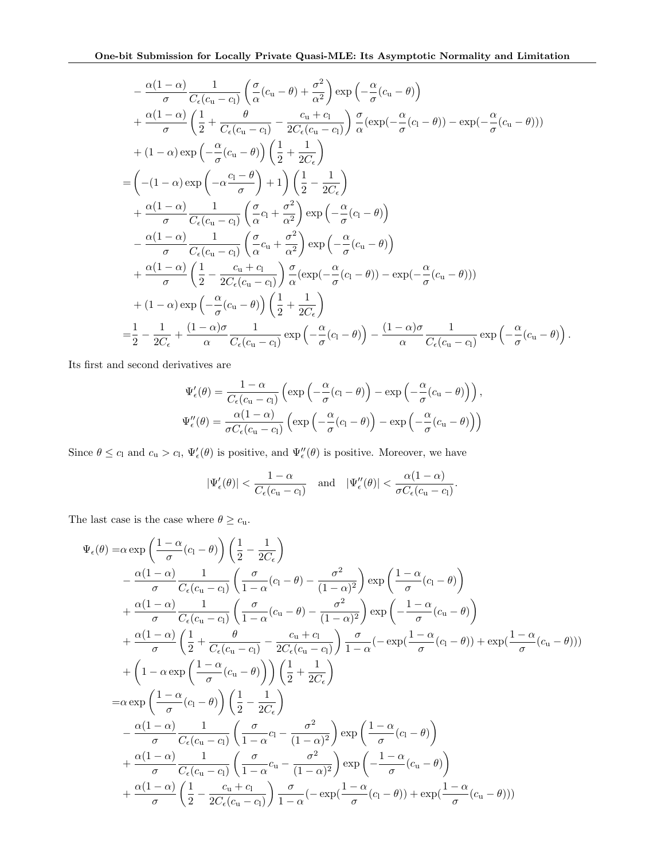$$
-\frac{\alpha(1-\alpha)}{\sigma}\frac{1}{C_{\epsilon}(c_{u}-c_{l})}\left(\frac{\sigma}{\alpha}(c_{u}-\theta)+\frac{\sigma^{2}}{\alpha^{2}}\right)\exp\left(-\frac{\alpha}{\sigma}(c_{u}-\theta)\right) +\frac{\alpha(1-\alpha)}{\sigma}\left(\frac{1}{2}+\frac{\theta}{C_{\epsilon}(c_{u}-c_{l})}-\frac{c_{u}+c_{l}}{2C_{\epsilon}(c_{u}-c_{l})}\right)\frac{\sigma}{\alpha}(\exp(-\frac{\alpha}{\sigma}(c_{l}-\theta))-\exp(-\frac{\alpha}{\sigma}(c_{u}-\theta))) +(1-\alpha)\exp\left(-\frac{\alpha}{\sigma}(c_{u}-\theta)\right)\left(\frac{1}{2}+\frac{1}{2C_{\epsilon}}\right) =\left(-(1-\alpha)\exp\left(-\alpha\frac{c_{l}-\theta}{\sigma}\right)+1\right)\left(\frac{1}{2}-\frac{1}{2C_{\epsilon}}\right) +\frac{\alpha(1-\alpha)}{\sigma}\frac{1}{C_{\epsilon}(c_{u}-c_{l})}\left(\frac{\sigma}{\alpha}c_{l}+\frac{\sigma^{2}}{\alpha^{2}}\right)\exp\left(-\frac{\alpha}{\sigma}(c_{l}-\theta)\right) -\frac{\alpha(1-\alpha)}{\sigma}\frac{1}{C_{\epsilon}(c_{u}-c_{l})}\left(\frac{\sigma}{\alpha}c_{u}+\frac{\sigma^{2}}{\alpha^{2}}\right)\exp\left(-\frac{\alpha}{\sigma}(c_{u}-\theta)\right) +\frac{\alpha(1-\alpha)}{\sigma}\left(\frac{1}{2}-\frac{c_{u}+c_{l}}{2C_{\epsilon}(c_{u}-c_{l})}\right)\frac{\sigma}{\alpha}(\exp(-\frac{\alpha}{\sigma}(c_{l}-\theta))-\exp(-\frac{\alpha}{\sigma}(c_{u}-\theta))) +(1-\alpha)\exp\left(-\frac{\alpha}{\sigma}(c_{u}-\theta)\right)\left(\frac{1}{2}+\frac{1}{2C_{\epsilon}}\right) =\frac{1}{2}-\frac{1}{2C_{\epsilon}}+\frac{(1-\alpha)\sigma}{\alpha}\frac{1}{C_{\epsilon}(c_{u}-c_{l})}\exp\left(-\frac{\alpha}{\sigma}(c_{l}-\theta)\right)-\frac{(1-\alpha)\sigma}{\alpha}\frac{1}{C_{\epsilon}(c_{u}-c_{l})}\exp\left(-\frac{\alpha}{\sigma}(c_{u}-\theta)\right).
$$

Its first and second derivatives are

$$
\Psi'_{\epsilon}(\theta) = \frac{1-\alpha}{C_{\epsilon}(c_{\mathbf{u}}-c_{\mathbf{l}})} \left( \exp\left(-\frac{\alpha}{\sigma}(c_{\mathbf{l}}-\theta)\right) - \exp\left(-\frac{\alpha}{\sigma}(c_{\mathbf{u}}-\theta)\right) \right),
$$
  

$$
\Psi''_{\epsilon}(\theta) = \frac{\alpha(1-\alpha)}{\sigma C_{\epsilon}(c_{\mathbf{u}}-c_{\mathbf{l}})} \left( \exp\left(-\frac{\alpha}{\sigma}(c_{\mathbf{l}}-\theta)\right) - \exp\left(-\frac{\alpha}{\sigma}(c_{\mathbf{u}}-\theta)\right) \right)
$$

Since  $\theta \leq c_1$  and  $c_u > c_1$ ,  $\Psi_{\epsilon}'(\theta)$  is positive, and  $\Psi_{\epsilon}''(\theta)$  is positive. Moreover, we have

$$
|\Psi_{\epsilon}'(\theta)| < \frac{1-\alpha}{C_{\epsilon}(c_{\mathbf{u}}-c_{\mathbf{l}})} \quad \text{and} \quad |\Psi_{\epsilon}''(\theta)| < \frac{\alpha(1-\alpha)}{\sigma C_{\epsilon}(c_{\mathbf{u}}-c_{\mathbf{l}})}.
$$

The last case is the case where  $\theta \geq c_{\text{u}}$ .

$$
\Psi_{\epsilon}(\theta) = \alpha \exp\left(\frac{1-\alpha}{\sigma}(c_{1}-\theta)\right) \left(\frac{1}{2}-\frac{1}{2C_{\epsilon}}\right) \n- \frac{\alpha(1-\alpha)}{\sigma} \frac{1}{C_{\epsilon}(c_{u}-c_{1})} \left(\frac{\sigma}{1-\alpha}(c_{1}-\theta)-\frac{\sigma^{2}}{(1-\alpha)^{2}}\right) \exp\left(\frac{1-\alpha}{\sigma}(c_{1}-\theta)\right) \n+ \frac{\alpha(1-\alpha)}{\sigma} \frac{1}{C_{\epsilon}(c_{u}-c_{1})} \left(\frac{\sigma}{1-\alpha}(c_{u}-\theta)-\frac{\sigma^{2}}{(1-\alpha)^{2}}\right) \exp\left(-\frac{1-\alpha}{\sigma}(c_{u}-\theta)\right) \n+ \frac{\alpha(1-\alpha)}{\sigma} \left(\frac{1}{2}+\frac{\theta}{C_{\epsilon}(c_{u}-c_{1})}-\frac{c_{u}+c_{1}}{2C_{\epsilon}(c_{u}-c_{1})}\right) \frac{\sigma}{1-\alpha}(-\exp(\frac{1-\alpha}{\sigma}(c_{1}-\theta))+\exp(\frac{1-\alpha}{\sigma}(c_{u}-\theta))) \n+ \left(1-\alpha \exp\left(\frac{1-\alpha}{\sigma}(c_{u}-\theta)\right)\right) \left(\frac{1}{2}+\frac{1}{2C_{\epsilon}}\right) \n= \alpha \exp\left(\frac{1-\alpha}{\sigma}(c_{1}-\theta)\right) \left(\frac{1}{2}-\frac{1}{2C_{\epsilon}}\right) \n- \frac{\alpha(1-\alpha)}{\sigma} \frac{1}{C_{\epsilon}(c_{u}-c_{1})} \left(\frac{\sigma}{1-\alpha}c_{1}-\frac{\sigma^{2}}{(1-\alpha)^{2}}\right) \exp\left(-\frac{1-\alpha}{\sigma}(c_{1}-\theta)\right) \n+ \frac{\alpha(1-\alpha)}{\sigma} \frac{1}{C_{\epsilon}(c_{u}-c_{1})} \left(\frac{\sigma}{1-\alpha}c_{u}-\frac{\sigma^{2}}{(1-\alpha)^{2}}\right) \exp\left(-\frac{1-\alpha}{\sigma}(c_{u}-\theta)\right) \n+ \frac{\alpha(1-\alpha)}{\sigma} \left(\frac{1}{2}-\frac{c_{u}+c_{1}}{2C_{\epsilon}(c_{u}-c_{1})}\right) \frac{\sigma}{1-\alpha}(-\exp(\frac{1-\alpha}{\sigma}(c_{1}-\theta))+\exp(\frac{
$$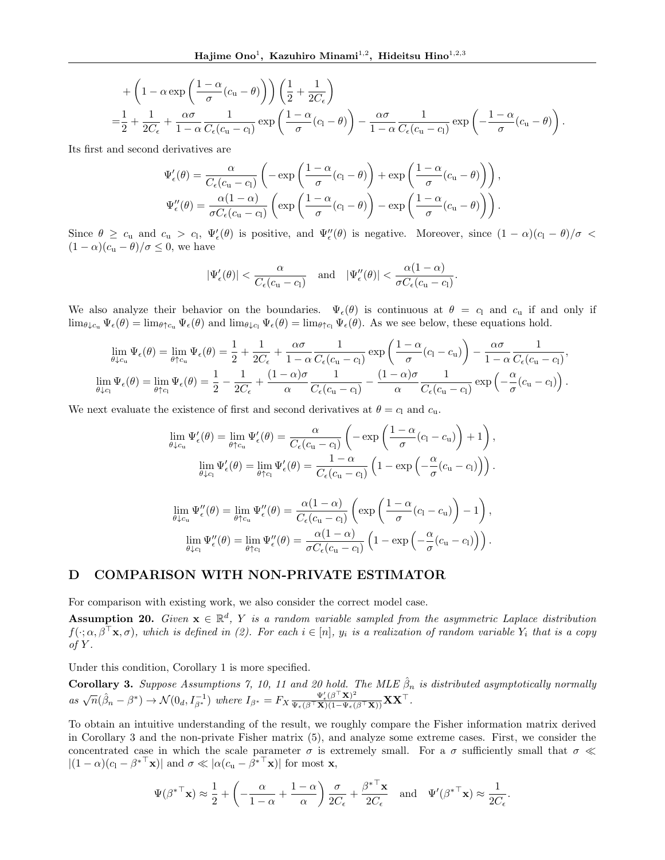+
$$
\begin{aligned}\n&+\left(1-\alpha\exp\left(\frac{1-\alpha}{\sigma}(c_{u}-\theta)\right)\right)\left(\frac{1}{2}+\frac{1}{2C_{\epsilon}}\right) \\
&=\frac{1}{2}+\frac{1}{2C_{\epsilon}}+\frac{\alpha\sigma}{1-\alpha}\frac{1}{C_{\epsilon}(c_{u}-c_{l})}\exp\left(\frac{1-\alpha}{\sigma}(c_{l}-\theta)\right)-\frac{\alpha\sigma}{1-\alpha}\frac{1}{C_{\epsilon}(c_{u}-c_{l})}\exp\left(-\frac{1-\alpha}{\sigma}(c_{u}-\theta)\right)\n\end{aligned}
$$

*.*

Its first and second derivatives are

$$
\Psi'_{\epsilon}(\theta) = \frac{\alpha}{C_{\epsilon}(c_{\mathbf{u}} - c_{\mathbf{l}})} \left( -\exp\left(\frac{1-\alpha}{\sigma}(c_{\mathbf{l}} - \theta)\right) + \exp\left(\frac{1-\alpha}{\sigma}(c_{\mathbf{u}} - \theta)\right) \right),
$$

$$
\Psi''_{\epsilon}(\theta) = \frac{\alpha(1-\alpha)}{\sigma C_{\epsilon}(c_{\mathbf{u}} - c_{\mathbf{l}})} \left( \exp\left(\frac{1-\alpha}{\sigma}(c_{\mathbf{l}} - \theta)\right) - \exp\left(\frac{1-\alpha}{\sigma}(c_{\mathbf{u}} - \theta)\right) \right).
$$

Since  $\theta \geq c_u$  and  $c_u > c_l$ ,  $\Psi'_{\epsilon}(\theta)$  is positive, and  $\Psi''_{\epsilon}(\theta)$  is negative. Moreover, since  $(1 - \alpha)(c_l - \theta)/\sigma <$  $(1 - \alpha)(c_{\rm u} - \theta)/\sigma \leq 0$ , we have

$$
|\Psi_{\epsilon}'(\theta)| < \frac{\alpha}{C_{\epsilon}(c_{\mathbf{u}} - c_{\mathbf{l}})} \quad \text{and} \quad |\Psi_{\epsilon}''(\theta)| < \frac{\alpha(1 - \alpha)}{\sigma C_{\epsilon}(c_{\mathbf{u}} - c_{\mathbf{l}})}
$$

*.*

We also analyze their behavior on the boundaries.  $\Psi_{\epsilon}(\theta)$  is continuous at  $\theta = c_1$  and  $c_u$  if and only if  $\lim_{\theta \downarrow c_u} \Psi_{\epsilon}(\theta) = \lim_{\theta \uparrow c_u} \Psi_{\epsilon}(\theta)$  and  $\lim_{\theta \downarrow c_u} \Psi_{\epsilon}(\theta) = \lim_{\theta \uparrow c_u} \Psi_{\epsilon}(\theta)$ . As we see below, these equations hold.

$$
\lim_{\theta \downarrow c_u} \Psi_{\epsilon}(\theta) = \lim_{\theta \uparrow c_u} \Psi_{\epsilon}(\theta) = \frac{1}{2} + \frac{1}{2C_{\epsilon}} + \frac{\alpha \sigma}{1 - \alpha} \frac{1}{C_{\epsilon}(c_u - c_l)} \exp\left(\frac{1 - \alpha}{\sigma}(c_l - c_u)\right) - \frac{\alpha \sigma}{1 - \alpha} \frac{1}{C_{\epsilon}(c_u - c_l)},
$$
\n
$$
\lim_{\theta \downarrow c_1} \Psi_{\epsilon}(\theta) = \lim_{\theta \uparrow c_1} \Psi_{\epsilon}(\theta) = \frac{1}{2} - \frac{1}{2C_{\epsilon}} + \frac{(1 - \alpha)\sigma}{\alpha} \frac{1}{C_{\epsilon}(c_u - c_l)} - \frac{(1 - \alpha)\sigma}{\alpha} \frac{1}{C_{\epsilon}(c_u - c_l)} \exp\left(-\frac{\alpha}{\sigma}(c_u - c_l)\right).
$$

We next evaluate the existence of first and second derivatives at  $\theta = c_1$  and  $c_u$ .

$$
\lim_{\theta \downarrow c_{\mathrm{u}}} \Psi_{\epsilon}'(\theta) = \lim_{\theta \uparrow c_{\mathrm{u}}} \Psi_{\epsilon}'(\theta) = \frac{\alpha}{C_{\epsilon}(c_{\mathrm{u}} - c_{\mathrm{l}})} \left( -\exp\left(\frac{1-\alpha}{\sigma}(c_{\mathrm{l}} - c_{\mathrm{u}})\right) + 1 \right),
$$

$$
\lim_{\theta \downarrow c_{\mathrm{l}}} \Psi_{\epsilon}'(\theta) = \lim_{\theta \uparrow c_{\mathrm{l}}} \Psi_{\epsilon}'(\theta) = \frac{1-\alpha}{C_{\epsilon}(c_{\mathrm{u}} - c_{\mathrm{l}})} \left( 1 - \exp\left(-\frac{\alpha}{\sigma}(c_{\mathrm{u}} - c_{\mathrm{l}})\right) \right).
$$

$$
\lim_{\theta \downarrow c_{u}} \Psi''_{\epsilon}(\theta) = \lim_{\theta \uparrow c_{u}} \Psi''_{\epsilon}(\theta) = \frac{\alpha(1-\alpha)}{C_{\epsilon}(c_{u}-c_{l})} \left( \exp \left( \frac{1-\alpha}{\sigma} (c_{l}-c_{u}) \right) - 1 \right),
$$

$$
\lim_{\theta \downarrow c_{1}} \Psi''_{\epsilon}(\theta) = \lim_{\theta \uparrow c_{l}} \Psi''_{\epsilon}(\theta) = \frac{\alpha(1-\alpha)}{\sigma C_{\epsilon}(c_{u}-c_{l})} \left( 1 - \exp \left( -\frac{\alpha}{\sigma} (c_{u}-c_{l}) \right) \right).
$$

# D COMPARISON WITH NON-PRIVATE ESTIMATOR

For comparison with existing work, we also consider the correct model case.

Assumption 20. *Given*  $\mathbf{x} \in \mathbb{R}^d$ , *Y is a random variable sampled from the asymmetric Laplace distribution*  $f(\cdot; \alpha, \beta^T \mathbf{x}, \sigma)$ , which is defined in (2). For each  $i \in [n]$ ,  $y_i$  is a realization of random variable  $Y_i$  that is a copy *of Y .*

Under this condition, Corollary 1 is more specified.

**Corollary 3.** Suppose Assumptions 7, 10, 11 and 20 hold. The MLE  $\hat{\beta}_n$  is distributed asymptotically normally  $as \sqrt{n}(\hat{\beta}_n - \beta^*) \rightarrow \mathcal{N}(0_d, I_{\beta^*}^{-1})$  where  $I_{\beta^*} = F_X \frac{\Psi'_{\epsilon}(\beta^{\top} \mathbf{X})^2}{\Psi_{\epsilon}(\beta^{\top} \mathbf{X})(1 - \Psi_{\epsilon}(\beta^{\top} \mathbf{X}))} \mathbf{X} \mathbf{X}^{\top}$ .

To obtain an intuitive understanding of the result, we roughly compare the Fisher information matrix derived in Corollary 3 and the non-private Fisher matrix (5), and analyze some extreme cases. First, we consider the concentrated case in which the scale parameter  $\sigma$  is extremely small. For a  $\sigma$  sufficiently small that  $\sigma \ll$  $|(1 - \alpha)(c_1 - \beta^{*T} \mathbf{x})|$  and  $\sigma \ll |\alpha(c_\mathbf{u} - \beta^{*T} \mathbf{x})|$  for most **x**,

$$
\Psi(\beta^{*T}\mathbf{x}) \approx \frac{1}{2} + \left(-\frac{\alpha}{1-\alpha} + \frac{1-\alpha}{\alpha}\right) \frac{\sigma}{2C_{\epsilon}} + \frac{\beta^{*T}\mathbf{x}}{2C_{\epsilon}} \quad \text{and} \quad \Psi'(\beta^{*T}\mathbf{x}) \approx \frac{1}{2C_{\epsilon}}.
$$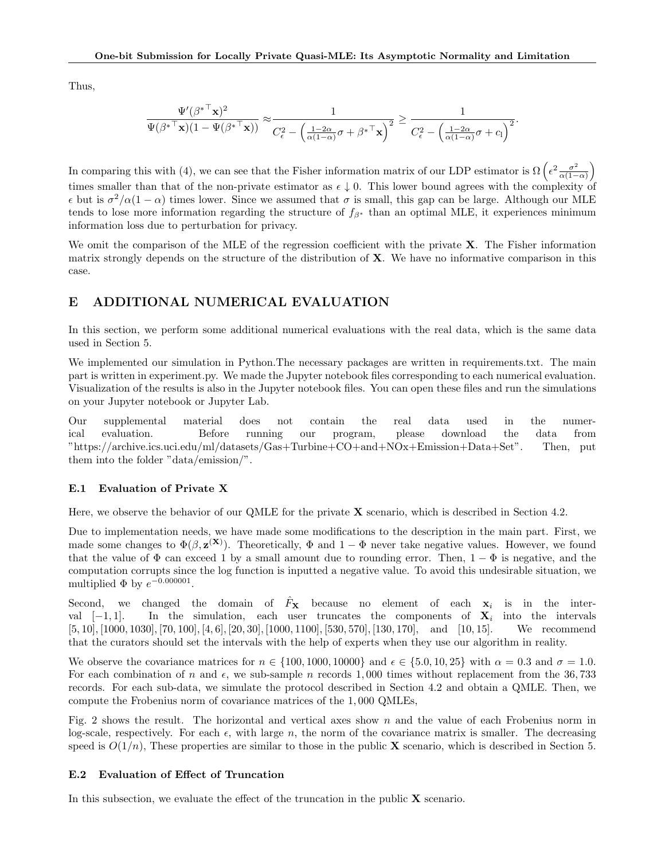Thus,

$$
\frac{\Psi'(\beta^{* \top} \mathbf{x})^2}{\Psi(\beta^{* \top} \mathbf{x})(1 - \Psi(\beta^{* \top} \mathbf{x}))} \approx \frac{1}{C_{\epsilon}^2 - \left(\frac{1 - 2\alpha}{\alpha(1 - \alpha)}\sigma + \beta^{* \top} \mathbf{x}\right)^2} \ge \frac{1}{C_{\epsilon}^2 - \left(\frac{1 - 2\alpha}{\alpha(1 - \alpha)}\sigma + c_1\right)^2}.
$$

In comparing this with (4), we can see that the Fisher information matrix of our LDP estimator is  $\Omega\left(\epsilon^2 \frac{\sigma^2}{\alpha(1-\alpha)}\right)$  $\setminus$ times smaller than that of the non-private estimator as  $\epsilon \downarrow 0$ . This lower bound agrees with the complexity of  $\epsilon$  but is  $\sigma^2/\alpha(1-\alpha)$  times lower. Since we assumed that  $\sigma$  is small, this gap can be large. Although our MLE tends to lose more information regarding the structure of  $f_{\beta^*}$  than an optimal MLE, it experiences minimum information loss due to perturbation for privacy.

We omit the comparison of the MLE of the regression coefficient with the private  $X$ . The Fisher information matrix strongly depends on the structure of the distribution of  $X$ . We have no informative comparison in this case.

# E ADDITIONAL NUMERICAL EVALUATION

In this section, we perform some additional numerical evaluations with the real data, which is the same data used in Section 5.

We implemented our simulation in Python. The necessary packages are written in requirements.txt. The main part is written in experiment.py. We made the Jupyter notebook files corresponding to each numerical evaluation. Visualization of the results is also in the Jupyter notebook files. You can open these files and run the simulations on your Jupyter notebook or Jupyter Lab.

Our supplemental material does not contain the real data used in the numerical evaluation. Before running our program, please download the data from "https://archive.ics.uci.edu/ml/datasets/Gas+Turbine+CO+and+NOx+Emission+Data+Set". Then, put them into the folder "data/emission/".

#### E.1 Evaluation of Private X

Here, we observe the behavior of our QMLE for the private  $X$  scenario, which is described in Section 4.2.

Due to implementation needs, we have made some modifications to the description in the main part. First, we made some changes to  $\Phi(\beta, \mathbf{z}^{(\mathbf{X})})$ . Theoretically,  $\Phi$  and  $1 - \Phi$  never take negative values. However, we found that the value of  $\Phi$  can exceed 1 by a small amount due to rounding error. Then,  $1 - \Phi$  is negative, and the computation corrupts since the log function is inputted a negative value. To avoid this undesirable situation, we multiplied  $\Phi$  by  $e^{-0.000001}$ .

Second, we changed the domain of  $\hat{F}_{\mathbf{X}}$  because no element of each  $x_i$  is in the interval  $[-1, 1]$ . In the simulation, each user truncates the components of  $\mathbf{X}_i$  into the intervals [5, 10], [1000, 1030], [70, 100], [4, 6], [20, 30], [1000, 1100], [530, 570], [130, 170], and [10, 15]. We recommend  $[5, 10]$ , [1000, 1030], [70, 100], [4, 6], [20, 30], [1000, 1100], [530, 570], [130, 170], and [10, 15]. that the curators should set the intervals with the help of experts when they use our algorithm in reality.

We observe the covariance matrices for  $n \in \{100, 1000, 10000\}$  and  $\epsilon \in \{5.0, 10, 25\}$  with  $\alpha = 0.3$  and  $\sigma = 1.0$ . For each combination of *n* and  $\epsilon$ , we sub-sample *n* records 1,000 times without replacement from the 36,733 records. For each sub-data, we simulate the protocol described in Section 4.2 and obtain a QMLE. Then, we compute the Frobenius norm of covariance matrices of the 1*,* 000 QMLEs,

Fig. 2 shows the result. The horizontal and vertical axes show *n* and the value of each Frobenius norm in log-scale, respectively. For each  $\epsilon$ , with large  $n$ , the norm of the covariance matrix is smaller. The decreasing speed is  $O(1/n)$ , These properties are similar to those in the public **X** scenario, which is described in Section 5.

## E.2 Evaluation of Effect of Truncation

In this subsection, we evaluate the effect of the truncation in the public  $X$  scenario.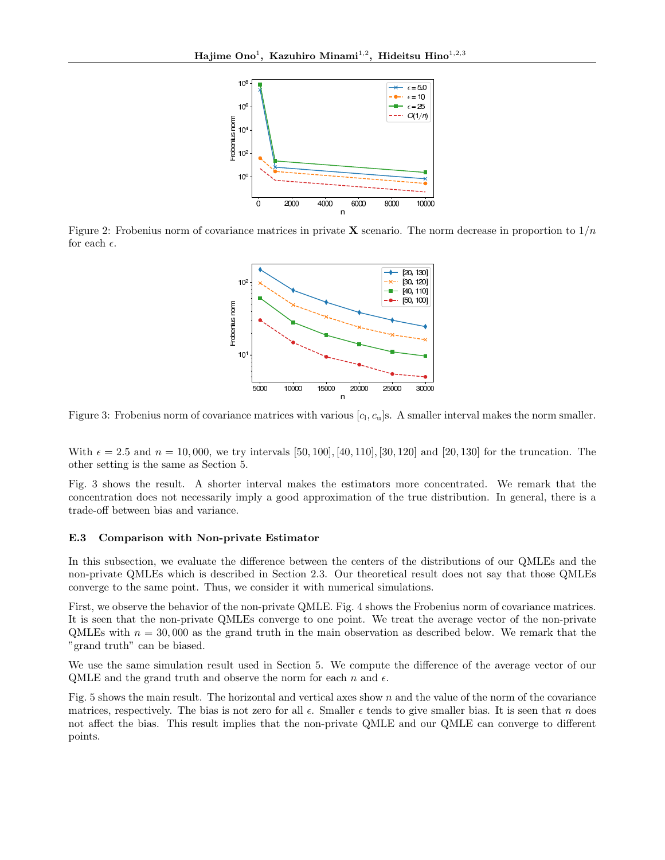

Figure 2: Frobenius norm of covariance matrices in private **X** scenario. The norm decrease in proportion to  $1/n$ for each  $\epsilon$ .



Figure 3: Frobenius norm of covariance matrices with various  $[c_1, c_u]$ s. A smaller interval makes the norm smaller.

With  $\epsilon = 2.5$  and  $n = 10,000$ , we try intervals [50, 100]*,* [40, 110]*,* [30, 120] and [20, 130] for the truncation. The other setting is the same as Section 5.

Fig. 3 shows the result. A shorter interval makes the estimators more concentrated. We remark that the concentration does not necessarily imply a good approximation of the true distribution. In general, there is a trade-off between bias and variance.

### E.3 Comparison with Non-private Estimator

In this subsection, we evaluate the difference between the centers of the distributions of our QMLEs and the non-private QMLEs which is described in Section 2.3. Our theoretical result does not say that those QMLEs converge to the same point. Thus, we consider it with numerical simulations.

First, we observe the behavior of the non-private QMLE. Fig. 4 shows the Frobenius norm of covariance matrices. It is seen that the non-private QMLEs converge to one point. We treat the average vector of the non-private QMLEs with  $n = 30,000$  as the grand truth in the main observation as described below. We remark that the "grand truth" can be biased.

We use the same simulation result used in Section 5. We compute the difference of the average vector of our QMLE and the grand truth and observe the norm for each  $n$  and  $\epsilon$ .

Fig. 5 shows the main result. The horizontal and vertical axes show *n* and the value of the norm of the covariance matrices, respectively. The bias is not zero for all  $\epsilon$ . Smaller  $\epsilon$  tends to give smaller bias. It is seen that *n* does not affect the bias. This result implies that the non-private QMLE and our QMLE can converge to different points.